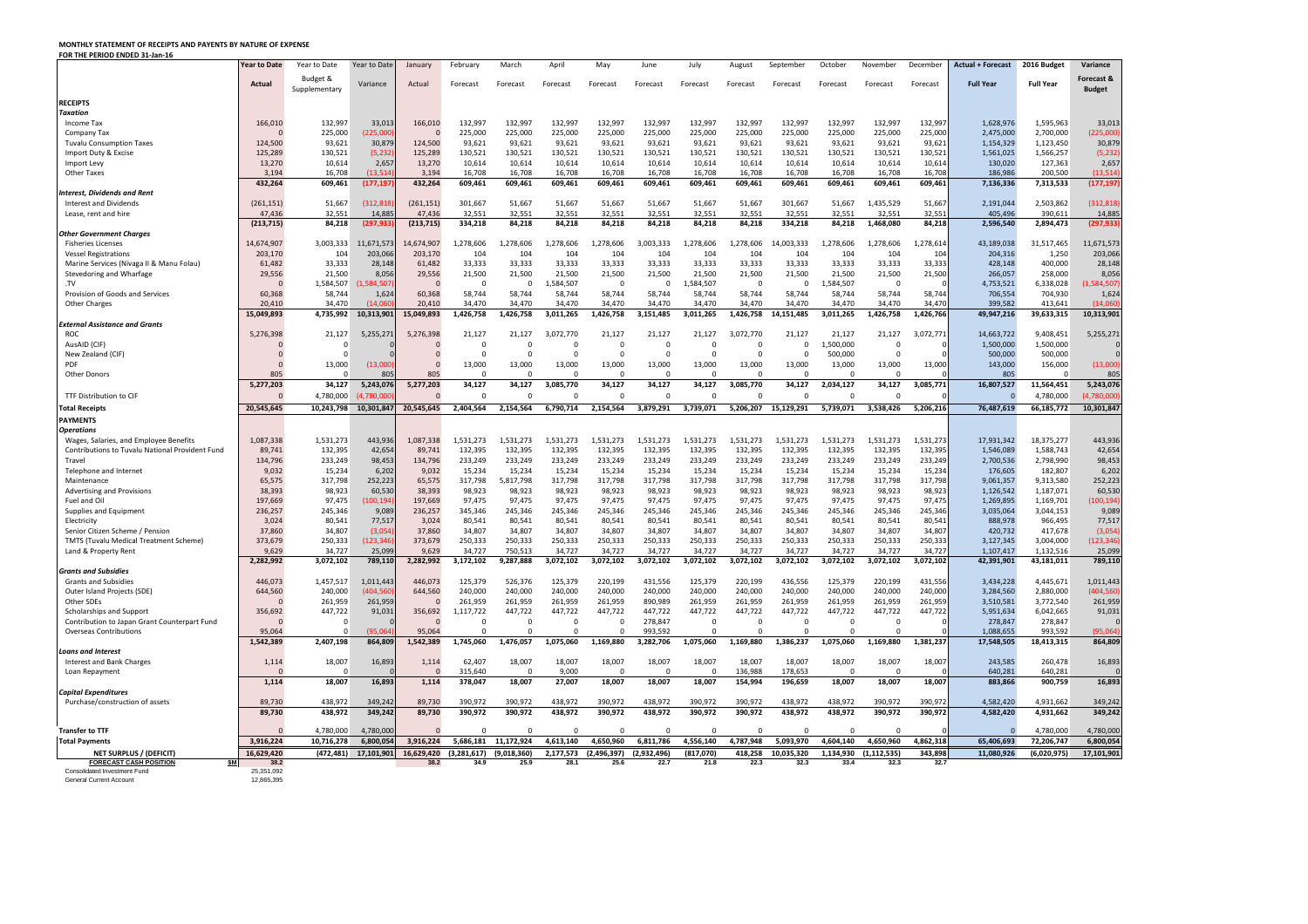## **MONTHLY STATEMENT OF RECEIPTS AND PAYENTS BY NATURE OF EXPENSE**

**FOR THE PERIOD ENDED 31-Jan-16**

| Budget &<br>Forecast &<br><b>Full Year</b><br><b>Full Year</b><br>Actual<br>Variance<br>Actual<br>Forecast<br>Forecast<br>Forecast<br>Forecast<br>Forecast<br>Forecast<br>Forecast<br>Forecast<br>Forecast<br>Forecast<br>Forecast<br><b>Budget</b><br>Supplementary<br><b>RECEIPTS</b><br><b>Taxation</b><br>166,010<br>132,997<br>33,013<br>166,010<br>132,997<br>132,997<br>132,997<br>132,997<br>132,997<br>132,997<br>132,997<br>132,997<br>132,997<br>132,997<br>132,997<br>1,628,976<br>1,595,963<br>Income Tax<br>225,000<br>2,700,000<br>225,000<br>225,000<br>225,000<br>225,000<br>225,000<br>225,000<br>225,000<br>225,000<br>225,000<br>225,000<br>225,000<br>225,000<br>2,475,000<br>Company Tax<br>93,621<br>30,879<br>124,500<br>93,621<br>93,621<br>93,621<br>93,621<br>93,621<br>93,621<br>93,621<br>93,621<br>93,621<br>1,123,450<br><b>Tuvalu Consumption Taxes</b><br>124,500<br>93,621<br>93,621<br>1,154,329<br>125,289<br>(5, 232)<br>125,289<br>130,521<br>130,521<br>130,521<br>130,521<br>130,521<br>1,561,025<br>1,566,257<br>Import Duty & Excise<br>130,521<br>130,521<br>130,521<br>130,521<br>130,521<br>130,521<br>130,521<br>13,270<br>10,614<br>2,657<br>13,270<br>10,614<br>10,614<br>10,614<br>10,614<br>10,614<br>130,020<br>127,363<br>10,614<br>10,614<br>10,614<br>10,614<br>10,614<br>10,614<br>Import Levy<br>16,708<br>16,708<br>16,708<br>16,708<br>3,194<br>16,708<br>(13, 514)<br>16,708<br>16,708<br>16,708<br>16,708<br>16,708<br>16,708<br>16,708<br>186,986<br>200,500<br><b>Other Taxes</b><br>3,194<br>432,264<br>432,264<br>609,461<br>(177, 197)<br>609,461<br>609,461<br>609,461<br>609,461<br>609,461<br>609,461<br>609,461<br>609,461<br>609,461<br>609,461<br>7,136,336<br>7,313,533<br>609,461<br><b>Interest, Dividends and Rent</b><br>51,667<br>51,667<br>301,667<br>2,503,862<br>51,667<br>(312, 818)<br>(261, 151)<br>301,667<br>51,667<br>51,667<br>51,667<br>51,667<br>51,667<br>1,435,529<br>51,667<br>2,191,044<br>Interest and Dividends<br>(261, 151)<br>47,436<br>32,551<br>32,551<br>32,551<br>32,551<br>32,551<br>405,496<br>390,611<br>14,885<br>47,436<br>32,551<br>32,551<br>32,551<br>32,551<br>32,551<br>32,551<br>32,551<br>Lease, rent and hire<br>(297, 933)<br>84,218<br>334,218<br>1,468,080<br>84,218<br>2,596,540<br>(213, 715)<br>84,218<br>(213, 715)<br>334,218<br>84,218<br>84,218<br>84,218<br>84,218<br>84,218<br>2,894,473<br>84,218<br><b>Other Government Charges</b><br>1,278,606<br>1,278,614<br>43,189,038<br>11,671,573<br>14,674,907<br>1,278,606<br>L,278,606<br>1,278,606<br>1,278,606<br>3,003,333<br>,278,606<br>1,278,606<br>14,003,333<br>1,278,606<br>31,517,465<br>14,674,907<br>3,003,333<br><b>Fisheries Licenses</b><br>203,066<br>203,170<br>104<br>104<br>104<br>104<br>1,250<br><b>Vessel Registrations</b><br>203,170<br>104<br>104<br>104<br>104<br>104<br>104<br>104<br>204,316<br>104<br>33,333<br>33,333<br>61,482<br>33,333<br>33,333<br>33,333<br>33,333<br>33,333<br>33,333<br>33,333<br>33,333<br>33,333<br>400,000<br>Marine Services (Nivaga II & Manu Folau)<br>61,482<br>28,148<br>33,333<br>428,148<br>21,500<br>29,556<br>21,500<br>21,500<br>21,500<br>21,500<br>21,500<br>21,500<br>21,500<br>21,500<br>21,500<br>Stevedoring and Wharfage<br>29,556<br>8,056<br>21,500<br>21,500<br>266,057<br>258,000<br>1,584,507<br>1,584,507<br>,584,507)<br>.,584,507<br>1,584,507<br>4,753,521<br>6,338,028<br>- 0<br>0<br>0<br>$\Omega$<br>0<br>Provision of Goods and Services<br>1,624<br>58,744<br>58,744<br>706,554<br>704,930<br>60,368<br>58,744<br>60,368<br>58,744<br>58,744<br>58,744<br>58,744<br>58,744<br>58,744<br>58,744<br>58,744<br>58,744<br>34,470<br>34,470<br>34,470<br>20,410<br>34,470<br>(14,060)<br>20,410<br>34,470<br>34,470<br>34,470<br>34,470<br>34,470<br>34,470<br>34,470<br>34,470<br>399,582<br>413,641<br>Other Charges<br>1,426,758<br>1,426,758<br>3,011,265<br>,426,758<br>14,151,485<br>L,426,758<br>1,426,766<br>4,735,992<br>10,313,901<br>15,049,893<br>1,426,758<br>3,011,265<br>3,151,485<br>3,011,265<br>49,947,216<br>39,633,315<br>15,049,893<br><b>External Assistance and Grants</b><br>21,127<br>21,127<br>21,127<br>3,072,771<br>14,663,722<br>9,408,451<br>21,127<br>5,255,271<br>5,276,398<br>21,127<br>21,127<br>3,072,770<br>21,127<br>21,127<br>3,072,770<br>21,127<br><b>ROC</b><br>5,276,398<br>,500,000<br>1,500,000<br>1,500,000<br>AusAID (CIF)<br>-0<br>0<br>0<br>500,000<br>500,000<br>$\Omega$<br>500,000<br>New Zealand (CIF)<br>$\Omega$<br>13,000<br>13,000<br>13,000<br>13,000<br><b>PDF</b><br>13,000<br>(13,000)<br>13,000<br>13,000<br>13,000<br>13,000<br>13,000<br>13,000<br>13,000<br>143,000<br>156,000<br>805<br>805<br>805<br>805<br>$\Omega$<br><b>Other Donors</b><br>$\Omega$<br>5,277,203<br>2,034,127<br>34,127<br>3,085,771<br>5,277,203<br>34,127<br>5,243,076<br>34,127<br>34,127<br>3,085,770<br>34,127<br>34,127<br>34,127<br>3,085,770<br>34,127<br>16,807,527<br>11,564,451<br>4,780,000<br><b>TTF Distribution to CIF</b><br>4,780,000<br>(4,780,000)<br>$\Omega$<br>5,206,216<br>20,545,645<br>10,243,798<br>20,545,645<br>2,404,564<br>2,154,564<br>6,790,714<br>2,154,564<br>3,879,291<br>3,739,071<br>5,206,207<br>15,129,291<br>5,739,071<br>3,538,426<br>76,487,619<br>66,185,772<br>10.301.847<br><b>PAYMENTS</b><br><b>Operations</b><br>1,531,273<br>17,931,342<br>18,375,277<br>Wages, Salaries, and Employee Benefits<br>1,087,338<br>1,531,273<br>443,936<br>1,087,338<br>1,531,273<br>1,531,273<br>1,531,273<br>1,531,273<br>1,531,273<br>1,531,273<br>1,531,273<br>1,531,273<br>1,531,273<br>1,531,273<br>132,395<br>132,395<br>132,395<br>132,395<br>132,395<br>132,395<br>132,395<br>132,395<br>132,395<br>1,588,743<br>89,741<br>42,654<br>89,741<br>132,395<br>132,395<br>132,395<br>1,546,089<br><b>Contributions to Tuvalu National Provident Fund</b><br>233,249<br>233,249<br>233,249<br>233,249<br>233,249<br>233,249<br>233,249<br>233,249<br>2,700,536<br>2,798,990<br>134,796<br>233,249<br>98,453<br>134,796<br>233,249<br>233,249<br>233,249<br>Travel<br>15,234<br>15,234<br>6,202<br>9,032<br>15,234<br>15,234<br>15,234<br>15,234<br>15,234<br>15,234<br>15,234<br>15,234<br>15,234<br>15,234<br>176,605<br>182,807<br>9,032<br>Telephone and Internet<br>317,798<br>317,798<br>65,575<br>317,798<br>252,223<br>65,575<br>317,798<br>5,817,798<br>317,798<br>317,798<br>317,798<br>317,798<br>317,798<br>317,798<br>317,798<br>9,061,357<br>9,313,580<br>Maintenance<br>38,393<br>98,923<br>60,530<br>38,393<br>98,923<br>98,923<br>98,923<br>1,126,542<br>1,187,071<br>98,923<br>98,923<br>98,923<br>98,923<br>98,923<br>98,923<br>98,923<br>98,923<br><b>Advertising and Provisions</b><br>97,475<br>Fuel and Oil<br>197,669<br>97,475<br>100, 194<br>197,669<br>97,475<br>97,475<br>97,475<br>97,475<br>97,475<br>97,475<br>97,475<br>97,475<br>97,475<br>97,475<br>1,269,895<br>1,169,701<br>236,257<br>245,346<br>3,035,064<br>236,257<br>245,346<br>9,089<br>345,346<br>245,346<br>245,346<br>245,346<br>245,346<br>245,346<br>245,346<br>245,346<br>245,346<br>245,346<br>3,044,153<br>Supplies and Equipment<br>3,024<br>80,541<br>77,517<br>3,024<br>80,541<br>80,541<br>80,541<br>80,541<br>80,541<br>80,541<br>80,541<br>80,541<br>888,978<br>966,495<br>80,541<br>80,541<br>80,541<br>Electricity<br>34,807<br>Senior Citizen Scheme / Pension<br>37,860<br>(3,054)<br>37,860<br>34,807<br>34,807<br>34,807<br>34,807<br>34,807<br>34,807<br>34,807<br>34,807<br>34,807<br>34,807<br>34,807<br>420,732<br>417,678<br>250,333<br>250,333<br>373,679<br>250,333<br>123,346<br>373,679<br>250,333<br>250,333<br>250,333<br>250,333<br>250,333<br>250,333<br>250,333<br>250,333<br>3,127,345<br>3,004,000<br><b>TMTS (Tuvalu Medical Treatment Scheme)</b><br>250,333<br>9,629<br>34,727<br>9,629<br>34,727<br>750,513<br>34,727<br>34,727<br>34,727<br>34,727<br>34,727<br>34,727<br>34,727<br>34,727<br>34,727<br>1,107,417<br>1,132,516<br>Land & Property Rent<br>25,099<br>789,110<br>9,287,888<br>3,072,102<br>3,072,102<br>3,072,102<br>3,072,102<br>3,072,102<br>3,072,102<br>3,072,102<br>2,282,992<br>3,072,102<br>2,282,992<br>3,172,102<br>3,072,102<br>3,072,102<br>42,391,901<br>43,181,011<br><b>Grants and Subsidies</b><br>446,073<br>446,073<br>526,376<br>125,379<br>220,199<br>431,556<br>125,379<br>220,199<br>436,556<br>220,199<br>431,556<br>3,434,228<br>4,445,671<br><b>Grants and Subsidies</b><br>1,457,517<br>1,011,443<br>125,379<br>125,379<br>644,560<br>240,000<br>240,000<br>240,000<br>240,000<br>644,560<br>240,000<br>(404,560<br>240,000<br>240,000<br>240,000<br>240,000<br>240,000<br>240,000<br>240,000<br>3,284,560<br>2,880,000<br>Outer Island Projects (SDE)<br>Other SDEs<br>261,959<br>261,959<br>261,959<br>261,959<br>261,959<br>261,959<br>261,959<br>890,989<br>261,959<br>261,959<br>261,959<br>261,959<br>261,959<br>3,510,581<br>3,772,540<br>447,722<br>447,722<br>447,722<br>447,722<br>447,722<br>447,722<br>447,722<br>447,722<br>Scholarships and Support<br>356,692<br>91,031<br>356,692<br>1,117,722<br>447,722<br>447,722<br>447,722<br>5,951,634<br>6,042,665<br>278,847<br>278,847<br>278,847<br>Contribution to Japan Grant Counterpart Fund<br>$\Omega$<br>95,064<br>95,064<br>993,592<br>1,088,655<br>993,592<br><b>Overseas Contributions</b><br>(95,064)<br>2,407,198<br>1,542,389<br>1,476,057<br>1,169,880<br>3,282,706<br>1,075,060<br>1,169,880<br>1,386,237<br>1,075,060<br>1,169,880<br>1,381,237<br>18,413,315<br>1,542,389<br>864,809<br>1,745,060<br>1,075,060<br>17,548,505<br>Loans and Interest<br>18,007<br>16,893<br>1,114<br>62,407<br>18,007<br>18,007<br>18,007<br>18,007<br>18,007<br>18,007<br>18,007<br>18,007<br>243,585<br>260,478<br>1,114<br>18,007<br>18,007<br>Interest and Bank Charges<br>315,640<br>9,000<br>136,988<br>178,653<br>640,281<br>640,281<br>Loan Repayment<br>$\Omega$<br>$\Omega$<br>196,659<br>18,007<br>18,007<br>1,114<br>18,007<br>16,893<br>1,114<br>378,047<br>18,007<br>27,007<br>18,007<br>18,007<br>18,007<br>154,994<br>18,007<br>883,866<br>900,759<br>Capital Expenditures<br>89,730<br>438,972<br>89,730<br>390,972<br>390,972<br>438,972<br>390,972<br>438,972<br>390,972<br>390,972<br>438,972<br>438,972<br>390,972<br>390,972<br>4,582,420<br>4,931,662<br>349,242<br>Purchase/construction of assets<br>390,972<br>438,972<br>390,972<br>390,972<br>438,972<br>390,972<br>390,972<br>89,730<br>438,972<br>349,242<br>89,730<br>390,972<br>390,972<br>438,972<br>438,972<br>4,582,420<br>4,931,662<br>4,780,000<br><b>Transfer to TTF</b><br>4,780,000<br>4,780,000<br>$\cap$<br>$\Omega$<br>$\Omega$<br>$\Omega$<br>$\Omega$<br>$\Omega$<br>11,172,924<br>5,093,970<br>4,604,140<br>4,862,318<br>3,916,224<br>10,716,278<br>6,800,054<br>3,916,224<br>5,686,181<br>4,613,140<br>4,650,960<br>6,811,786<br>4,556,140<br>4,787,948<br>4,650,960<br>65,406,693<br>72,206,747<br>(2,496,397)<br>(2,932,496)<br>(817,070)<br>343,898<br>11,080,926<br>(6,020,975)<br><b>NET SURPLUS / (DEFICIT)</b><br>16,629,420<br>(472, 481)<br>17,101,901<br>16,629,420<br>(3, 281, 617)<br>(9,018,360)<br>2,177,573<br>418,258<br>10,035,320<br>1,134,930<br>(1, 112, 535)<br>\$M<br>38.2<br>38.2<br>34.9<br>25.9<br>28.1<br>25.6<br>22.7<br>21.8<br>22.3<br>32.3<br>33.4<br>32.3<br>32.7<br><b>FORECAST CASH POSITION</b> |                              | Year to Date | Year to Date | Year to Date | January | February | March | April | May | June | July | August | September | October | November | Decembe | Actual + Forecast | 2016 Budget | Variance |
|---------------------------------------------------------------------------------------------------------------------------------------------------------------------------------------------------------------------------------------------------------------------------------------------------------------------------------------------------------------------------------------------------------------------------------------------------------------------------------------------------------------------------------------------------------------------------------------------------------------------------------------------------------------------------------------------------------------------------------------------------------------------------------------------------------------------------------------------------------------------------------------------------------------------------------------------------------------------------------------------------------------------------------------------------------------------------------------------------------------------------------------------------------------------------------------------------------------------------------------------------------------------------------------------------------------------------------------------------------------------------------------------------------------------------------------------------------------------------------------------------------------------------------------------------------------------------------------------------------------------------------------------------------------------------------------------------------------------------------------------------------------------------------------------------------------------------------------------------------------------------------------------------------------------------------------------------------------------------------------------------------------------------------------------------------------------------------------------------------------------------------------------------------------------------------------------------------------------------------------------------------------------------------------------------------------------------------------------------------------------------------------------------------------------------------------------------------------------------------------------------------------------------------------------------------------------------------------------------------------------------------------------------------------------------------------------------------------------------------------------------------------------------------------------------------------------------------------------------------------------------------------------------------------------------------------------------------------------------------------------------------------------------------------------------------------------------------------------------------------------------------------------------------------------------------------------------------------------------------------------------------------------------------------------------------------------------------------------------------------------------------------------------------------------------------------------------------------------------------------------------------------------------------------------------------------------------------------------------------------------------------------------------------------------------------------------------------------------------------------------------------------------------------------------------------------------------------------------------------------------------------------------------------------------------------------------------------------------------------------------------------------------------------------------------------------------------------------------------------------------------------------------------------------------------------------------------------------------------------------------------------------------------------------------------------------------------------------------------------------------------------------------------------------------------------------------------------------------------------------------------------------------------------------------------------------------------------------------------------------------------------------------------------------------------------------------------------------------------------------------------------------------------------------------------------------------------------------------------------------------------------------------------------------------------------------------------------------------------------------------------------------------------------------------------------------------------------------------------------------------------------------------------------------------------------------------------------------------------------------------------------------------------------------------------------------------------------------------------------------------------------------------------------------------------------------------------------------------------------------------------------------------------------------------------------------------------------------------------------------------------------------------------------------------------------------------------------------------------------------------------------------------------------------------------------------------------------------------------------------------------------------------------------------------------------------------------------------------------------------------------------------------------------------------------------------------------------------------------------------------------------------------------------------------------------------------------------------------------------------------------------------------------------------------------------------------------------------------------------------------------------------------------------------------------------------------------------------------------------------------------------------------------------------------------------------------------------------------------------------------------------------------------------------------------------------------------------------------------------------------------------------------------------------------------------------------------------------------------------------------------------------------------------------------------------------------------------------------------------------------------------------------------------------------------------------------------------------------------------------------------------------------------------------------------------------------------------------------------------------------------------------------------------------------------------------------------------------------------------------------------------------------------------------------------------------------------------------------------------------------------------------------------------------------------------------------------------------------------------------------------------------------------------------------------------------------------------------------------------------------------------------------------------------------------------------------------------------------------------------------------------------------------------------------------------------------------------------------------------------------------------------------------------------------------------------------------------------------------------------------------------------------------------------------------------------------------------------------------------------------------------------------------------------------------------------------------------------------------------------------------------------------------------------------------------------------------------------------------------------------------------------------------------------------------------------------------------------------------------------------------------------------------------------------------------------------------------------------------------------------------------------------------------------------------------------------------------------------------------------------------------------------------------------------------------------------------------------------------------------------------------------------------------------------------------------------------------------------------------------------------------------------------------------------------------------------------------------------------------------------------------------------------------------------------------------------------------------------------------------------------------------------------------------------------------------------------------------------------------------------------------------------------------------------------------------------------------------------------------------------------------------------------------------------------------------------------------------------------------------------------------------------------------------------------------------------------------------------------------------------------------------------------------------------------------------------------------------------------------------------------------------------------------------------------------------------------------------------------------------------------------------------------------------------------------------------------------------------------------------------------------------------------------------------------------------------------------------------------------------------------------------------------------------------------------------------------------------------------------------------------------------------------------------------------------------------------------------------------------------------------------------------------------------------------------------------------------------------------------------------------------------------------------------------------------------------------------------------------------------------------------------------------------------------------------------------------------------------------------------------------------------------------------------------------------------------------------------------------------------------------------------------------------------------------------------------------------------------------------------------------------------------------------------------------------------------------------------------------------------------------------------------------------|------------------------------|--------------|--------------|--------------|---------|----------|-------|-------|-----|------|------|--------|-----------|---------|----------|---------|-------------------|-------------|----------|
|                                                                                                                                                                                                                                                                                                                                                                                                                                                                                                                                                                                                                                                                                                                                                                                                                                                                                                                                                                                                                                                                                                                                                                                                                                                                                                                                                                                                                                                                                                                                                                                                                                                                                                                                                                                                                                                                                                                                                                                                                                                                                                                                                                                                                                                                                                                                                                                                                                                                                                                                                                                                                                                                                                                                                                                                                                                                                                                                                                                                                                                                                                                                                                                                                                                                                                                                                                                                                                                                                                                                                                                                                                                                                                                                                                                                                                                                                                                                                                                                                                                                                                                                                                                                                                                                                                                                                                                                                                                                                                                                                                                                                                                                                                                                                                                                                                                                                                                                                                                                                                                                                                                                                                                                                                                                                                                                                                                                                                                                                                                                                                                                                                                                                                                                                                                                                                                                                                                                                                                                                                                                                                                                                                                                                                                                                                                                                                                                                                                                                                                                                                                                                                                                                                                                                                                                                                                                                                                                                                                                                                                                                                                                                                                                                                                                                                                                                                                                                                                                                                                                                                                                                                                                                                                                                                                                                                                                                                                                                                                                                                                                                                                                                                                                                                                                                                                                                                                                                                                                                                                                                                                                                                                                                                                                                                                                                                                                                                                                                                                                                                                                                                                                                                                                                                                                                                                                                                                                                                                                                                                                                                                                                                                                                                                                                                                                                                                                                                                                                                                                                                                                                                                                                                                                                                                                                                                                                                                                                                                                                                                                                                                                                                                                                                                                                                                                                                                                                                                                                                                                                                                                                                                                                                                                                                                                                                                                                                                                         |                              |              |              |              |         |          |       |       |     |      |      |        |           |         |          |         |                   |             |          |
|                                                                                                                                                                                                                                                                                                                                                                                                                                                                                                                                                                                                                                                                                                                                                                                                                                                                                                                                                                                                                                                                                                                                                                                                                                                                                                                                                                                                                                                                                                                                                                                                                                                                                                                                                                                                                                                                                                                                                                                                                                                                                                                                                                                                                                                                                                                                                                                                                                                                                                                                                                                                                                                                                                                                                                                                                                                                                                                                                                                                                                                                                                                                                                                                                                                                                                                                                                                                                                                                                                                                                                                                                                                                                                                                                                                                                                                                                                                                                                                                                                                                                                                                                                                                                                                                                                                                                                                                                                                                                                                                                                                                                                                                                                                                                                                                                                                                                                                                                                                                                                                                                                                                                                                                                                                                                                                                                                                                                                                                                                                                                                                                                                                                                                                                                                                                                                                                                                                                                                                                                                                                                                                                                                                                                                                                                                                                                                                                                                                                                                                                                                                                                                                                                                                                                                                                                                                                                                                                                                                                                                                                                                                                                                                                                                                                                                                                                                                                                                                                                                                                                                                                                                                                                                                                                                                                                                                                                                                                                                                                                                                                                                                                                                                                                                                                                                                                                                                                                                                                                                                                                                                                                                                                                                                                                                                                                                                                                                                                                                                                                                                                                                                                                                                                                                                                                                                                                                                                                                                                                                                                                                                                                                                                                                                                                                                                                                                                                                                                                                                                                                                                                                                                                                                                                                                                                                                                                                                                                                                                                                                                                                                                                                                                                                                                                                                                                                                                                                                                                                                                                                                                                                                                                                                                                                                                                                                                                                                                         |                              |              |              |              |         |          |       |       |     |      |      |        |           |         |          |         |                   |             |          |
| 33,013<br>(225,000)<br>30,879<br>(5, 232)<br>2,657<br>(13, 514)<br>(177, 197)<br>(312, 818)<br>14,885<br>(297, 933)<br>11,671,573<br>203,066<br>28,148<br>8,056<br>(1,584,507)<br>1,624<br>(14,060)<br>10,313,901<br>5,255,271<br>(13,000)<br>805<br>5,243,076<br>(4,780,000)<br>10,301,847<br>443,936<br>42,654<br>98,453<br>6,202<br>252,223<br>60,530<br>(100, 194)<br>9,089<br>77,517<br>(3,054)<br>(123, 346)<br>25,099<br>789,110<br>1,011,443<br>(404, 560)<br>261,959<br>91,031<br>(95,064)<br>864,809<br>16,893<br>16,893<br>349,242<br>349,242<br>4,780,000<br>6,800,054<br>17,101,901                                                                                                                                                                                                                                                                                                                                                                                                                                                                                                                                                                                                                                                                                                                                                                                                                                                                                                                                                                                                                                                                                                                                                                                                                                                                                                                                                                                                                                                                                                                                                                                                                                                                                                                                                                                                                                                                                                                                                                                                                                                                                                                                                                                                                                                                                                                                                                                                                                                                                                                                                                                                                                                                                                                                                                                                                                                                                                                                                                                                                                                                                                                                                                                                                                                                                                                                                                                                                                                                                                                                                                                                                                                                                                                                                                                                                                                                                                                                                                                                                                                                                                                                                                                                                                                                                                                                                                                                                                                                                                                                                                                                                                                                                                                                                                                                                                                                                                                                                                                                                                                                                                                                                                                                                                                                                                                                                                                                                                                                                                                                                                                                                                                                                                                                                                                                                                                                                                                                                                                                                                                                                                                                                                                                                                                                                                                                                                                                                                                                                                                                                                                                                                                                                                                                                                                                                                                                                                                                                                                                                                                                                                                                                                                                                                                                                                                                                                                                                                                                                                                                                                                                                                                                                                                                                                                                                                                                                                                                                                                                                                                                                                                                                                                                                                                                                                                                                                                                                                                                                                                                                                                                                                                                                                                                                                                                                                                                                                                                                                                                                                                                                                                                                                                                                                                                                                                                                                                                                                                                                                                                                                                                                                                                                                                                                                                                                                                                                                                                                                                                                                                                                                                                                                                                                                                                                                                                                                                                                                                                                                                                                                                                                                                                                                                                                                                                        |                              |              |              |              |         |          |       |       |     |      |      |        |           |         |          |         |                   |             |          |
|                                                                                                                                                                                                                                                                                                                                                                                                                                                                                                                                                                                                                                                                                                                                                                                                                                                                                                                                                                                                                                                                                                                                                                                                                                                                                                                                                                                                                                                                                                                                                                                                                                                                                                                                                                                                                                                                                                                                                                                                                                                                                                                                                                                                                                                                                                                                                                                                                                                                                                                                                                                                                                                                                                                                                                                                                                                                                                                                                                                                                                                                                                                                                                                                                                                                                                                                                                                                                                                                                                                                                                                                                                                                                                                                                                                                                                                                                                                                                                                                                                                                                                                                                                                                                                                                                                                                                                                                                                                                                                                                                                                                                                                                                                                                                                                                                                                                                                                                                                                                                                                                                                                                                                                                                                                                                                                                                                                                                                                                                                                                                                                                                                                                                                                                                                                                                                                                                                                                                                                                                                                                                                                                                                                                                                                                                                                                                                                                                                                                                                                                                                                                                                                                                                                                                                                                                                                                                                                                                                                                                                                                                                                                                                                                                                                                                                                                                                                                                                                                                                                                                                                                                                                                                                                                                                                                                                                                                                                                                                                                                                                                                                                                                                                                                                                                                                                                                                                                                                                                                                                                                                                                                                                                                                                                                                                                                                                                                                                                                                                                                                                                                                                                                                                                                                                                                                                                                                                                                                                                                                                                                                                                                                                                                                                                                                                                                                                                                                                                                                                                                                                                                                                                                                                                                                                                                                                                                                                                                                                                                                                                                                                                                                                                                                                                                                                                                                                                                                                                                                                                                                                                                                                                                                                                                                                                                                                                                                                                         |                              |              |              |              |         |          |       |       |     |      |      |        |           |         |          |         |                   |             |          |
|                                                                                                                                                                                                                                                                                                                                                                                                                                                                                                                                                                                                                                                                                                                                                                                                                                                                                                                                                                                                                                                                                                                                                                                                                                                                                                                                                                                                                                                                                                                                                                                                                                                                                                                                                                                                                                                                                                                                                                                                                                                                                                                                                                                                                                                                                                                                                                                                                                                                                                                                                                                                                                                                                                                                                                                                                                                                                                                                                                                                                                                                                                                                                                                                                                                                                                                                                                                                                                                                                                                                                                                                                                                                                                                                                                                                                                                                                                                                                                                                                                                                                                                                                                                                                                                                                                                                                                                                                                                                                                                                                                                                                                                                                                                                                                                                                                                                                                                                                                                                                                                                                                                                                                                                                                                                                                                                                                                                                                                                                                                                                                                                                                                                                                                                                                                                                                                                                                                                                                                                                                                                                                                                                                                                                                                                                                                                                                                                                                                                                                                                                                                                                                                                                                                                                                                                                                                                                                                                                                                                                                                                                                                                                                                                                                                                                                                                                                                                                                                                                                                                                                                                                                                                                                                                                                                                                                                                                                                                                                                                                                                                                                                                                                                                                                                                                                                                                                                                                                                                                                                                                                                                                                                                                                                                                                                                                                                                                                                                                                                                                                                                                                                                                                                                                                                                                                                                                                                                                                                                                                                                                                                                                                                                                                                                                                                                                                                                                                                                                                                                                                                                                                                                                                                                                                                                                                                                                                                                                                                                                                                                                                                                                                                                                                                                                                                                                                                                                                                                                                                                                                                                                                                                                                                                                                                                                                                                                                                                         |                              |              |              |              |         |          |       |       |     |      |      |        |           |         |          |         |                   |             |          |
|                                                                                                                                                                                                                                                                                                                                                                                                                                                                                                                                                                                                                                                                                                                                                                                                                                                                                                                                                                                                                                                                                                                                                                                                                                                                                                                                                                                                                                                                                                                                                                                                                                                                                                                                                                                                                                                                                                                                                                                                                                                                                                                                                                                                                                                                                                                                                                                                                                                                                                                                                                                                                                                                                                                                                                                                                                                                                                                                                                                                                                                                                                                                                                                                                                                                                                                                                                                                                                                                                                                                                                                                                                                                                                                                                                                                                                                                                                                                                                                                                                                                                                                                                                                                                                                                                                                                                                                                                                                                                                                                                                                                                                                                                                                                                                                                                                                                                                                                                                                                                                                                                                                                                                                                                                                                                                                                                                                                                                                                                                                                                                                                                                                                                                                                                                                                                                                                                                                                                                                                                                                                                                                                                                                                                                                                                                                                                                                                                                                                                                                                                                                                                                                                                                                                                                                                                                                                                                                                                                                                                                                                                                                                                                                                                                                                                                                                                                                                                                                                                                                                                                                                                                                                                                                                                                                                                                                                                                                                                                                                                                                                                                                                                                                                                                                                                                                                                                                                                                                                                                                                                                                                                                                                                                                                                                                                                                                                                                                                                                                                                                                                                                                                                                                                                                                                                                                                                                                                                                                                                                                                                                                                                                                                                                                                                                                                                                                                                                                                                                                                                                                                                                                                                                                                                                                                                                                                                                                                                                                                                                                                                                                                                                                                                                                                                                                                                                                                                                                                                                                                                                                                                                                                                                                                                                                                                                                                                                                                         |                              |              |              |              |         |          |       |       |     |      |      |        |           |         |          |         |                   |             |          |
|                                                                                                                                                                                                                                                                                                                                                                                                                                                                                                                                                                                                                                                                                                                                                                                                                                                                                                                                                                                                                                                                                                                                                                                                                                                                                                                                                                                                                                                                                                                                                                                                                                                                                                                                                                                                                                                                                                                                                                                                                                                                                                                                                                                                                                                                                                                                                                                                                                                                                                                                                                                                                                                                                                                                                                                                                                                                                                                                                                                                                                                                                                                                                                                                                                                                                                                                                                                                                                                                                                                                                                                                                                                                                                                                                                                                                                                                                                                                                                                                                                                                                                                                                                                                                                                                                                                                                                                                                                                                                                                                                                                                                                                                                                                                                                                                                                                                                                                                                                                                                                                                                                                                                                                                                                                                                                                                                                                                                                                                                                                                                                                                                                                                                                                                                                                                                                                                                                                                                                                                                                                                                                                                                                                                                                                                                                                                                                                                                                                                                                                                                                                                                                                                                                                                                                                                                                                                                                                                                                                                                                                                                                                                                                                                                                                                                                                                                                                                                                                                                                                                                                                                                                                                                                                                                                                                                                                                                                                                                                                                                                                                                                                                                                                                                                                                                                                                                                                                                                                                                                                                                                                                                                                                                                                                                                                                                                                                                                                                                                                                                                                                                                                                                                                                                                                                                                                                                                                                                                                                                                                                                                                                                                                                                                                                                                                                                                                                                                                                                                                                                                                                                                                                                                                                                                                                                                                                                                                                                                                                                                                                                                                                                                                                                                                                                                                                                                                                                                                                                                                                                                                                                                                                                                                                                                                                                                                                                                                                         |                              |              |              |              |         |          |       |       |     |      |      |        |           |         |          |         |                   |             |          |
|                                                                                                                                                                                                                                                                                                                                                                                                                                                                                                                                                                                                                                                                                                                                                                                                                                                                                                                                                                                                                                                                                                                                                                                                                                                                                                                                                                                                                                                                                                                                                                                                                                                                                                                                                                                                                                                                                                                                                                                                                                                                                                                                                                                                                                                                                                                                                                                                                                                                                                                                                                                                                                                                                                                                                                                                                                                                                                                                                                                                                                                                                                                                                                                                                                                                                                                                                                                                                                                                                                                                                                                                                                                                                                                                                                                                                                                                                                                                                                                                                                                                                                                                                                                                                                                                                                                                                                                                                                                                                                                                                                                                                                                                                                                                                                                                                                                                                                                                                                                                                                                                                                                                                                                                                                                                                                                                                                                                                                                                                                                                                                                                                                                                                                                                                                                                                                                                                                                                                                                                                                                                                                                                                                                                                                                                                                                                                                                                                                                                                                                                                                                                                                                                                                                                                                                                                                                                                                                                                                                                                                                                                                                                                                                                                                                                                                                                                                                                                                                                                                                                                                                                                                                                                                                                                                                                                                                                                                                                                                                                                                                                                                                                                                                                                                                                                                                                                                                                                                                                                                                                                                                                                                                                                                                                                                                                                                                                                                                                                                                                                                                                                                                                                                                                                                                                                                                                                                                                                                                                                                                                                                                                                                                                                                                                                                                                                                                                                                                                                                                                                                                                                                                                                                                                                                                                                                                                                                                                                                                                                                                                                                                                                                                                                                                                                                                                                                                                                                                                                                                                                                                                                                                                                                                                                                                                                                                                                                                                         |                              |              |              |              |         |          |       |       |     |      |      |        |           |         |          |         |                   |             |          |
|                                                                                                                                                                                                                                                                                                                                                                                                                                                                                                                                                                                                                                                                                                                                                                                                                                                                                                                                                                                                                                                                                                                                                                                                                                                                                                                                                                                                                                                                                                                                                                                                                                                                                                                                                                                                                                                                                                                                                                                                                                                                                                                                                                                                                                                                                                                                                                                                                                                                                                                                                                                                                                                                                                                                                                                                                                                                                                                                                                                                                                                                                                                                                                                                                                                                                                                                                                                                                                                                                                                                                                                                                                                                                                                                                                                                                                                                                                                                                                                                                                                                                                                                                                                                                                                                                                                                                                                                                                                                                                                                                                                                                                                                                                                                                                                                                                                                                                                                                                                                                                                                                                                                                                                                                                                                                                                                                                                                                                                                                                                                                                                                                                                                                                                                                                                                                                                                                                                                                                                                                                                                                                                                                                                                                                                                                                                                                                                                                                                                                                                                                                                                                                                                                                                                                                                                                                                                                                                                                                                                                                                                                                                                                                                                                                                                                                                                                                                                                                                                                                                                                                                                                                                                                                                                                                                                                                                                                                                                                                                                                                                                                                                                                                                                                                                                                                                                                                                                                                                                                                                                                                                                                                                                                                                                                                                                                                                                                                                                                                                                                                                                                                                                                                                                                                                                                                                                                                                                                                                                                                                                                                                                                                                                                                                                                                                                                                                                                                                                                                                                                                                                                                                                                                                                                                                                                                                                                                                                                                                                                                                                                                                                                                                                                                                                                                                                                                                                                                                                                                                                                                                                                                                                                                                                                                                                                                                                                                                                         |                              |              |              |              |         |          |       |       |     |      |      |        |           |         |          |         |                   |             |          |
|                                                                                                                                                                                                                                                                                                                                                                                                                                                                                                                                                                                                                                                                                                                                                                                                                                                                                                                                                                                                                                                                                                                                                                                                                                                                                                                                                                                                                                                                                                                                                                                                                                                                                                                                                                                                                                                                                                                                                                                                                                                                                                                                                                                                                                                                                                                                                                                                                                                                                                                                                                                                                                                                                                                                                                                                                                                                                                                                                                                                                                                                                                                                                                                                                                                                                                                                                                                                                                                                                                                                                                                                                                                                                                                                                                                                                                                                                                                                                                                                                                                                                                                                                                                                                                                                                                                                                                                                                                                                                                                                                                                                                                                                                                                                                                                                                                                                                                                                                                                                                                                                                                                                                                                                                                                                                                                                                                                                                                                                                                                                                                                                                                                                                                                                                                                                                                                                                                                                                                                                                                                                                                                                                                                                                                                                                                                                                                                                                                                                                                                                                                                                                                                                                                                                                                                                                                                                                                                                                                                                                                                                                                                                                                                                                                                                                                                                                                                                                                                                                                                                                                                                                                                                                                                                                                                                                                                                                                                                                                                                                                                                                                                                                                                                                                                                                                                                                                                                                                                                                                                                                                                                                                                                                                                                                                                                                                                                                                                                                                                                                                                                                                                                                                                                                                                                                                                                                                                                                                                                                                                                                                                                                                                                                                                                                                                                                                                                                                                                                                                                                                                                                                                                                                                                                                                                                                                                                                                                                                                                                                                                                                                                                                                                                                                                                                                                                                                                                                                                                                                                                                                                                                                                                                                                                                                                                                                                                                                                         |                              |              |              |              |         |          |       |       |     |      |      |        |           |         |          |         |                   |             |          |
|                                                                                                                                                                                                                                                                                                                                                                                                                                                                                                                                                                                                                                                                                                                                                                                                                                                                                                                                                                                                                                                                                                                                                                                                                                                                                                                                                                                                                                                                                                                                                                                                                                                                                                                                                                                                                                                                                                                                                                                                                                                                                                                                                                                                                                                                                                                                                                                                                                                                                                                                                                                                                                                                                                                                                                                                                                                                                                                                                                                                                                                                                                                                                                                                                                                                                                                                                                                                                                                                                                                                                                                                                                                                                                                                                                                                                                                                                                                                                                                                                                                                                                                                                                                                                                                                                                                                                                                                                                                                                                                                                                                                                                                                                                                                                                                                                                                                                                                                                                                                                                                                                                                                                                                                                                                                                                                                                                                                                                                                                                                                                                                                                                                                                                                                                                                                                                                                                                                                                                                                                                                                                                                                                                                                                                                                                                                                                                                                                                                                                                                                                                                                                                                                                                                                                                                                                                                                                                                                                                                                                                                                                                                                                                                                                                                                                                                                                                                                                                                                                                                                                                                                                                                                                                                                                                                                                                                                                                                                                                                                                                                                                                                                                                                                                                                                                                                                                                                                                                                                                                                                                                                                                                                                                                                                                                                                                                                                                                                                                                                                                                                                                                                                                                                                                                                                                                                                                                                                                                                                                                                                                                                                                                                                                                                                                                                                                                                                                                                                                                                                                                                                                                                                                                                                                                                                                                                                                                                                                                                                                                                                                                                                                                                                                                                                                                                                                                                                                                                                                                                                                                                                                                                                                                                                                                                                                                                                                                                                         |                              |              |              |              |         |          |       |       |     |      |      |        |           |         |          |         |                   |             |          |
|                                                                                                                                                                                                                                                                                                                                                                                                                                                                                                                                                                                                                                                                                                                                                                                                                                                                                                                                                                                                                                                                                                                                                                                                                                                                                                                                                                                                                                                                                                                                                                                                                                                                                                                                                                                                                                                                                                                                                                                                                                                                                                                                                                                                                                                                                                                                                                                                                                                                                                                                                                                                                                                                                                                                                                                                                                                                                                                                                                                                                                                                                                                                                                                                                                                                                                                                                                                                                                                                                                                                                                                                                                                                                                                                                                                                                                                                                                                                                                                                                                                                                                                                                                                                                                                                                                                                                                                                                                                                                                                                                                                                                                                                                                                                                                                                                                                                                                                                                                                                                                                                                                                                                                                                                                                                                                                                                                                                                                                                                                                                                                                                                                                                                                                                                                                                                                                                                                                                                                                                                                                                                                                                                                                                                                                                                                                                                                                                                                                                                                                                                                                                                                                                                                                                                                                                                                                                                                                                                                                                                                                                                                                                                                                                                                                                                                                                                                                                                                                                                                                                                                                                                                                                                                                                                                                                                                                                                                                                                                                                                                                                                                                                                                                                                                                                                                                                                                                                                                                                                                                                                                                                                                                                                                                                                                                                                                                                                                                                                                                                                                                                                                                                                                                                                                                                                                                                                                                                                                                                                                                                                                                                                                                                                                                                                                                                                                                                                                                                                                                                                                                                                                                                                                                                                                                                                                                                                                                                                                                                                                                                                                                                                                                                                                                                                                                                                                                                                                                                                                                                                                                                                                                                                                                                                                                                                                                                                                                                         |                              |              |              |              |         |          |       |       |     |      |      |        |           |         |          |         |                   |             |          |
|                                                                                                                                                                                                                                                                                                                                                                                                                                                                                                                                                                                                                                                                                                                                                                                                                                                                                                                                                                                                                                                                                                                                                                                                                                                                                                                                                                                                                                                                                                                                                                                                                                                                                                                                                                                                                                                                                                                                                                                                                                                                                                                                                                                                                                                                                                                                                                                                                                                                                                                                                                                                                                                                                                                                                                                                                                                                                                                                                                                                                                                                                                                                                                                                                                                                                                                                                                                                                                                                                                                                                                                                                                                                                                                                                                                                                                                                                                                                                                                                                                                                                                                                                                                                                                                                                                                                                                                                                                                                                                                                                                                                                                                                                                                                                                                                                                                                                                                                                                                                                                                                                                                                                                                                                                                                                                                                                                                                                                                                                                                                                                                                                                                                                                                                                                                                                                                                                                                                                                                                                                                                                                                                                                                                                                                                                                                                                                                                                                                                                                                                                                                                                                                                                                                                                                                                                                                                                                                                                                                                                                                                                                                                                                                                                                                                                                                                                                                                                                                                                                                                                                                                                                                                                                                                                                                                                                                                                                                                                                                                                                                                                                                                                                                                                                                                                                                                                                                                                                                                                                                                                                                                                                                                                                                                                                                                                                                                                                                                                                                                                                                                                                                                                                                                                                                                                                                                                                                                                                                                                                                                                                                                                                                                                                                                                                                                                                                                                                                                                                                                                                                                                                                                                                                                                                                                                                                                                                                                                                                                                                                                                                                                                                                                                                                                                                                                                                                                                                                                                                                                                                                                                                                                                                                                                                                                                                                                                                                                         |                              |              |              |              |         |          |       |       |     |      |      |        |           |         |          |         |                   |             |          |
|                                                                                                                                                                                                                                                                                                                                                                                                                                                                                                                                                                                                                                                                                                                                                                                                                                                                                                                                                                                                                                                                                                                                                                                                                                                                                                                                                                                                                                                                                                                                                                                                                                                                                                                                                                                                                                                                                                                                                                                                                                                                                                                                                                                                                                                                                                                                                                                                                                                                                                                                                                                                                                                                                                                                                                                                                                                                                                                                                                                                                                                                                                                                                                                                                                                                                                                                                                                                                                                                                                                                                                                                                                                                                                                                                                                                                                                                                                                                                                                                                                                                                                                                                                                                                                                                                                                                                                                                                                                                                                                                                                                                                                                                                                                                                                                                                                                                                                                                                                                                                                                                                                                                                                                                                                                                                                                                                                                                                                                                                                                                                                                                                                                                                                                                                                                                                                                                                                                                                                                                                                                                                                                                                                                                                                                                                                                                                                                                                                                                                                                                                                                                                                                                                                                                                                                                                                                                                                                                                                                                                                                                                                                                                                                                                                                                                                                                                                                                                                                                                                                                                                                                                                                                                                                                                                                                                                                                                                                                                                                                                                                                                                                                                                                                                                                                                                                                                                                                                                                                                                                                                                                                                                                                                                                                                                                                                                                                                                                                                                                                                                                                                                                                                                                                                                                                                                                                                                                                                                                                                                                                                                                                                                                                                                                                                                                                                                                                                                                                                                                                                                                                                                                                                                                                                                                                                                                                                                                                                                                                                                                                                                                                                                                                                                                                                                                                                                                                                                                                                                                                                                                                                                                                                                                                                                                                                                                                                                                                         |                              |              |              |              |         |          |       |       |     |      |      |        |           |         |          |         |                   |             |          |
|                                                                                                                                                                                                                                                                                                                                                                                                                                                                                                                                                                                                                                                                                                                                                                                                                                                                                                                                                                                                                                                                                                                                                                                                                                                                                                                                                                                                                                                                                                                                                                                                                                                                                                                                                                                                                                                                                                                                                                                                                                                                                                                                                                                                                                                                                                                                                                                                                                                                                                                                                                                                                                                                                                                                                                                                                                                                                                                                                                                                                                                                                                                                                                                                                                                                                                                                                                                                                                                                                                                                                                                                                                                                                                                                                                                                                                                                                                                                                                                                                                                                                                                                                                                                                                                                                                                                                                                                                                                                                                                                                                                                                                                                                                                                                                                                                                                                                                                                                                                                                                                                                                                                                                                                                                                                                                                                                                                                                                                                                                                                                                                                                                                                                                                                                                                                                                                                                                                                                                                                                                                                                                                                                                                                                                                                                                                                                                                                                                                                                                                                                                                                                                                                                                                                                                                                                                                                                                                                                                                                                                                                                                                                                                                                                                                                                                                                                                                                                                                                                                                                                                                                                                                                                                                                                                                                                                                                                                                                                                                                                                                                                                                                                                                                                                                                                                                                                                                                                                                                                                                                                                                                                                                                                                                                                                                                                                                                                                                                                                                                                                                                                                                                                                                                                                                                                                                                                                                                                                                                                                                                                                                                                                                                                                                                                                                                                                                                                                                                                                                                                                                                                                                                                                                                                                                                                                                                                                                                                                                                                                                                                                                                                                                                                                                                                                                                                                                                                                                                                                                                                                                                                                                                                                                                                                                                                                                                                                                                         |                              |              |              |              |         |          |       |       |     |      |      |        |           |         |          |         |                   |             |          |
|                                                                                                                                                                                                                                                                                                                                                                                                                                                                                                                                                                                                                                                                                                                                                                                                                                                                                                                                                                                                                                                                                                                                                                                                                                                                                                                                                                                                                                                                                                                                                                                                                                                                                                                                                                                                                                                                                                                                                                                                                                                                                                                                                                                                                                                                                                                                                                                                                                                                                                                                                                                                                                                                                                                                                                                                                                                                                                                                                                                                                                                                                                                                                                                                                                                                                                                                                                                                                                                                                                                                                                                                                                                                                                                                                                                                                                                                                                                                                                                                                                                                                                                                                                                                                                                                                                                                                                                                                                                                                                                                                                                                                                                                                                                                                                                                                                                                                                                                                                                                                                                                                                                                                                                                                                                                                                                                                                                                                                                                                                                                                                                                                                                                                                                                                                                                                                                                                                                                                                                                                                                                                                                                                                                                                                                                                                                                                                                                                                                                                                                                                                                                                                                                                                                                                                                                                                                                                                                                                                                                                                                                                                                                                                                                                                                                                                                                                                                                                                                                                                                                                                                                                                                                                                                                                                                                                                                                                                                                                                                                                                                                                                                                                                                                                                                                                                                                                                                                                                                                                                                                                                                                                                                                                                                                                                                                                                                                                                                                                                                                                                                                                                                                                                                                                                                                                                                                                                                                                                                                                                                                                                                                                                                                                                                                                                                                                                                                                                                                                                                                                                                                                                                                                                                                                                                                                                                                                                                                                                                                                                                                                                                                                                                                                                                                                                                                                                                                                                                                                                                                                                                                                                                                                                                                                                                                                                                                                                                                         |                              |              |              |              |         |          |       |       |     |      |      |        |           |         |          |         |                   |             |          |
|                                                                                                                                                                                                                                                                                                                                                                                                                                                                                                                                                                                                                                                                                                                                                                                                                                                                                                                                                                                                                                                                                                                                                                                                                                                                                                                                                                                                                                                                                                                                                                                                                                                                                                                                                                                                                                                                                                                                                                                                                                                                                                                                                                                                                                                                                                                                                                                                                                                                                                                                                                                                                                                                                                                                                                                                                                                                                                                                                                                                                                                                                                                                                                                                                                                                                                                                                                                                                                                                                                                                                                                                                                                                                                                                                                                                                                                                                                                                                                                                                                                                                                                                                                                                                                                                                                                                                                                                                                                                                                                                                                                                                                                                                                                                                                                                                                                                                                                                                                                                                                                                                                                                                                                                                                                                                                                                                                                                                                                                                                                                                                                                                                                                                                                                                                                                                                                                                                                                                                                                                                                                                                                                                                                                                                                                                                                                                                                                                                                                                                                                                                                                                                                                                                                                                                                                                                                                                                                                                                                                                                                                                                                                                                                                                                                                                                                                                                                                                                                                                                                                                                                                                                                                                                                                                                                                                                                                                                                                                                                                                                                                                                                                                                                                                                                                                                                                                                                                                                                                                                                                                                                                                                                                                                                                                                                                                                                                                                                                                                                                                                                                                                                                                                                                                                                                                                                                                                                                                                                                                                                                                                                                                                                                                                                                                                                                                                                                                                                                                                                                                                                                                                                                                                                                                                                                                                                                                                                                                                                                                                                                                                                                                                                                                                                                                                                                                                                                                                                                                                                                                                                                                                                                                                                                                                                                                                                                                                                                         |                              |              |              |              |         |          |       |       |     |      |      |        |           |         |          |         |                   |             |          |
|                                                                                                                                                                                                                                                                                                                                                                                                                                                                                                                                                                                                                                                                                                                                                                                                                                                                                                                                                                                                                                                                                                                                                                                                                                                                                                                                                                                                                                                                                                                                                                                                                                                                                                                                                                                                                                                                                                                                                                                                                                                                                                                                                                                                                                                                                                                                                                                                                                                                                                                                                                                                                                                                                                                                                                                                                                                                                                                                                                                                                                                                                                                                                                                                                                                                                                                                                                                                                                                                                                                                                                                                                                                                                                                                                                                                                                                                                                                                                                                                                                                                                                                                                                                                                                                                                                                                                                                                                                                                                                                                                                                                                                                                                                                                                                                                                                                                                                                                                                                                                                                                                                                                                                                                                                                                                                                                                                                                                                                                                                                                                                                                                                                                                                                                                                                                                                                                                                                                                                                                                                                                                                                                                                                                                                                                                                                                                                                                                                                                                                                                                                                                                                                                                                                                                                                                                                                                                                                                                                                                                                                                                                                                                                                                                                                                                                                                                                                                                                                                                                                                                                                                                                                                                                                                                                                                                                                                                                                                                                                                                                                                                                                                                                                                                                                                                                                                                                                                                                                                                                                                                                                                                                                                                                                                                                                                                                                                                                                                                                                                                                                                                                                                                                                                                                                                                                                                                                                                                                                                                                                                                                                                                                                                                                                                                                                                                                                                                                                                                                                                                                                                                                                                                                                                                                                                                                                                                                                                                                                                                                                                                                                                                                                                                                                                                                                                                                                                                                                                                                                                                                                                                                                                                                                                                                                                                                                                                                                                         |                              |              |              |              |         |          |       |       |     |      |      |        |           |         |          |         |                   |             |          |
|                                                                                                                                                                                                                                                                                                                                                                                                                                                                                                                                                                                                                                                                                                                                                                                                                                                                                                                                                                                                                                                                                                                                                                                                                                                                                                                                                                                                                                                                                                                                                                                                                                                                                                                                                                                                                                                                                                                                                                                                                                                                                                                                                                                                                                                                                                                                                                                                                                                                                                                                                                                                                                                                                                                                                                                                                                                                                                                                                                                                                                                                                                                                                                                                                                                                                                                                                                                                                                                                                                                                                                                                                                                                                                                                                                                                                                                                                                                                                                                                                                                                                                                                                                                                                                                                                                                                                                                                                                                                                                                                                                                                                                                                                                                                                                                                                                                                                                                                                                                                                                                                                                                                                                                                                                                                                                                                                                                                                                                                                                                                                                                                                                                                                                                                                                                                                                                                                                                                                                                                                                                                                                                                                                                                                                                                                                                                                                                                                                                                                                                                                                                                                                                                                                                                                                                                                                                                                                                                                                                                                                                                                                                                                                                                                                                                                                                                                                                                                                                                                                                                                                                                                                                                                                                                                                                                                                                                                                                                                                                                                                                                                                                                                                                                                                                                                                                                                                                                                                                                                                                                                                                                                                                                                                                                                                                                                                                                                                                                                                                                                                                                                                                                                                                                                                                                                                                                                                                                                                                                                                                                                                                                                                                                                                                                                                                                                                                                                                                                                                                                                                                                                                                                                                                                                                                                                                                                                                                                                                                                                                                                                                                                                                                                                                                                                                                                                                                                                                                                                                                                                                                                                                                                                                                                                                                                                                                                                                                                         |                              |              |              |              |         |          |       |       |     |      |      |        |           |         |          |         |                   |             |          |
|                                                                                                                                                                                                                                                                                                                                                                                                                                                                                                                                                                                                                                                                                                                                                                                                                                                                                                                                                                                                                                                                                                                                                                                                                                                                                                                                                                                                                                                                                                                                                                                                                                                                                                                                                                                                                                                                                                                                                                                                                                                                                                                                                                                                                                                                                                                                                                                                                                                                                                                                                                                                                                                                                                                                                                                                                                                                                                                                                                                                                                                                                                                                                                                                                                                                                                                                                                                                                                                                                                                                                                                                                                                                                                                                                                                                                                                                                                                                                                                                                                                                                                                                                                                                                                                                                                                                                                                                                                                                                                                                                                                                                                                                                                                                                                                                                                                                                                                                                                                                                                                                                                                                                                                                                                                                                                                                                                                                                                                                                                                                                                                                                                                                                                                                                                                                                                                                                                                                                                                                                                                                                                                                                                                                                                                                                                                                                                                                                                                                                                                                                                                                                                                                                                                                                                                                                                                                                                                                                                                                                                                                                                                                                                                                                                                                                                                                                                                                                                                                                                                                                                                                                                                                                                                                                                                                                                                                                                                                                                                                                                                                                                                                                                                                                                                                                                                                                                                                                                                                                                                                                                                                                                                                                                                                                                                                                                                                                                                                                                                                                                                                                                                                                                                                                                                                                                                                                                                                                                                                                                                                                                                                                                                                                                                                                                                                                                                                                                                                                                                                                                                                                                                                                                                                                                                                                                                                                                                                                                                                                                                                                                                                                                                                                                                                                                                                                                                                                                                                                                                                                                                                                                                                                                                                                                                                                                                                                                                                         |                              |              |              |              |         |          |       |       |     |      |      |        |           |         |          |         |                   |             |          |
|                                                                                                                                                                                                                                                                                                                                                                                                                                                                                                                                                                                                                                                                                                                                                                                                                                                                                                                                                                                                                                                                                                                                                                                                                                                                                                                                                                                                                                                                                                                                                                                                                                                                                                                                                                                                                                                                                                                                                                                                                                                                                                                                                                                                                                                                                                                                                                                                                                                                                                                                                                                                                                                                                                                                                                                                                                                                                                                                                                                                                                                                                                                                                                                                                                                                                                                                                                                                                                                                                                                                                                                                                                                                                                                                                                                                                                                                                                                                                                                                                                                                                                                                                                                                                                                                                                                                                                                                                                                                                                                                                                                                                                                                                                                                                                                                                                                                                                                                                                                                                                                                                                                                                                                                                                                                                                                                                                                                                                                                                                                                                                                                                                                                                                                                                                                                                                                                                                                                                                                                                                                                                                                                                                                                                                                                                                                                                                                                                                                                                                                                                                                                                                                                                                                                                                                                                                                                                                                                                                                                                                                                                                                                                                                                                                                                                                                                                                                                                                                                                                                                                                                                                                                                                                                                                                                                                                                                                                                                                                                                                                                                                                                                                                                                                                                                                                                                                                                                                                                                                                                                                                                                                                                                                                                                                                                                                                                                                                                                                                                                                                                                                                                                                                                                                                                                                                                                                                                                                                                                                                                                                                                                                                                                                                                                                                                                                                                                                                                                                                                                                                                                                                                                                                                                                                                                                                                                                                                                                                                                                                                                                                                                                                                                                                                                                                                                                                                                                                                                                                                                                                                                                                                                                                                                                                                                                                                                                                                                         |                              |              |              |              |         |          |       |       |     |      |      |        |           |         |          |         |                   |             |          |
|                                                                                                                                                                                                                                                                                                                                                                                                                                                                                                                                                                                                                                                                                                                                                                                                                                                                                                                                                                                                                                                                                                                                                                                                                                                                                                                                                                                                                                                                                                                                                                                                                                                                                                                                                                                                                                                                                                                                                                                                                                                                                                                                                                                                                                                                                                                                                                                                                                                                                                                                                                                                                                                                                                                                                                                                                                                                                                                                                                                                                                                                                                                                                                                                                                                                                                                                                                                                                                                                                                                                                                                                                                                                                                                                                                                                                                                                                                                                                                                                                                                                                                                                                                                                                                                                                                                                                                                                                                                                                                                                                                                                                                                                                                                                                                                                                                                                                                                                                                                                                                                                                                                                                                                                                                                                                                                                                                                                                                                                                                                                                                                                                                                                                                                                                                                                                                                                                                                                                                                                                                                                                                                                                                                                                                                                                                                                                                                                                                                                                                                                                                                                                                                                                                                                                                                                                                                                                                                                                                                                                                                                                                                                                                                                                                                                                                                                                                                                                                                                                                                                                                                                                                                                                                                                                                                                                                                                                                                                                                                                                                                                                                                                                                                                                                                                                                                                                                                                                                                                                                                                                                                                                                                                                                                                                                                                                                                                                                                                                                                                                                                                                                                                                                                                                                                                                                                                                                                                                                                                                                                                                                                                                                                                                                                                                                                                                                                                                                                                                                                                                                                                                                                                                                                                                                                                                                                                                                                                                                                                                                                                                                                                                                                                                                                                                                                                                                                                                                                                                                                                                                                                                                                                                                                                                                                                                                                                                                                                         |                              |              |              |              |         |          |       |       |     |      |      |        |           |         |          |         |                   |             |          |
|                                                                                                                                                                                                                                                                                                                                                                                                                                                                                                                                                                                                                                                                                                                                                                                                                                                                                                                                                                                                                                                                                                                                                                                                                                                                                                                                                                                                                                                                                                                                                                                                                                                                                                                                                                                                                                                                                                                                                                                                                                                                                                                                                                                                                                                                                                                                                                                                                                                                                                                                                                                                                                                                                                                                                                                                                                                                                                                                                                                                                                                                                                                                                                                                                                                                                                                                                                                                                                                                                                                                                                                                                                                                                                                                                                                                                                                                                                                                                                                                                                                                                                                                                                                                                                                                                                                                                                                                                                                                                                                                                                                                                                                                                                                                                                                                                                                                                                                                                                                                                                                                                                                                                                                                                                                                                                                                                                                                                                                                                                                                                                                                                                                                                                                                                                                                                                                                                                                                                                                                                                                                                                                                                                                                                                                                                                                                                                                                                                                                                                                                                                                                                                                                                                                                                                                                                                                                                                                                                                                                                                                                                                                                                                                                                                                                                                                                                                                                                                                                                                                                                                                                                                                                                                                                                                                                                                                                                                                                                                                                                                                                                                                                                                                                                                                                                                                                                                                                                                                                                                                                                                                                                                                                                                                                                                                                                                                                                                                                                                                                                                                                                                                                                                                                                                                                                                                                                                                                                                                                                                                                                                                                                                                                                                                                                                                                                                                                                                                                                                                                                                                                                                                                                                                                                                                                                                                                                                                                                                                                                                                                                                                                                                                                                                                                                                                                                                                                                                                                                                                                                                                                                                                                                                                                                                                                                                                                                                                                         |                              |              |              |              |         |          |       |       |     |      |      |        |           |         |          |         |                   |             |          |
|                                                                                                                                                                                                                                                                                                                                                                                                                                                                                                                                                                                                                                                                                                                                                                                                                                                                                                                                                                                                                                                                                                                                                                                                                                                                                                                                                                                                                                                                                                                                                                                                                                                                                                                                                                                                                                                                                                                                                                                                                                                                                                                                                                                                                                                                                                                                                                                                                                                                                                                                                                                                                                                                                                                                                                                                                                                                                                                                                                                                                                                                                                                                                                                                                                                                                                                                                                                                                                                                                                                                                                                                                                                                                                                                                                                                                                                                                                                                                                                                                                                                                                                                                                                                                                                                                                                                                                                                                                                                                                                                                                                                                                                                                                                                                                                                                                                                                                                                                                                                                                                                                                                                                                                                                                                                                                                                                                                                                                                                                                                                                                                                                                                                                                                                                                                                                                                                                                                                                                                                                                                                                                                                                                                                                                                                                                                                                                                                                                                                                                                                                                                                                                                                                                                                                                                                                                                                                                                                                                                                                                                                                                                                                                                                                                                                                                                                                                                                                                                                                                                                                                                                                                                                                                                                                                                                                                                                                                                                                                                                                                                                                                                                                                                                                                                                                                                                                                                                                                                                                                                                                                                                                                                                                                                                                                                                                                                                                                                                                                                                                                                                                                                                                                                                                                                                                                                                                                                                                                                                                                                                                                                                                                                                                                                                                                                                                                                                                                                                                                                                                                                                                                                                                                                                                                                                                                                                                                                                                                                                                                                                                                                                                                                                                                                                                                                                                                                                                                                                                                                                                                                                                                                                                                                                                                                                                                                                                                                                         |                              |              |              |              |         |          |       |       |     |      |      |        |           |         |          |         |                   |             |          |
|                                                                                                                                                                                                                                                                                                                                                                                                                                                                                                                                                                                                                                                                                                                                                                                                                                                                                                                                                                                                                                                                                                                                                                                                                                                                                                                                                                                                                                                                                                                                                                                                                                                                                                                                                                                                                                                                                                                                                                                                                                                                                                                                                                                                                                                                                                                                                                                                                                                                                                                                                                                                                                                                                                                                                                                                                                                                                                                                                                                                                                                                                                                                                                                                                                                                                                                                                                                                                                                                                                                                                                                                                                                                                                                                                                                                                                                                                                                                                                                                                                                                                                                                                                                                                                                                                                                                                                                                                                                                                                                                                                                                                                                                                                                                                                                                                                                                                                                                                                                                                                                                                                                                                                                                                                                                                                                                                                                                                                                                                                                                                                                                                                                                                                                                                                                                                                                                                                                                                                                                                                                                                                                                                                                                                                                                                                                                                                                                                                                                                                                                                                                                                                                                                                                                                                                                                                                                                                                                                                                                                                                                                                                                                                                                                                                                                                                                                                                                                                                                                                                                                                                                                                                                                                                                                                                                                                                                                                                                                                                                                                                                                                                                                                                                                                                                                                                                                                                                                                                                                                                                                                                                                                                                                                                                                                                                                                                                                                                                                                                                                                                                                                                                                                                                                                                                                                                                                                                                                                                                                                                                                                                                                                                                                                                                                                                                                                                                                                                                                                                                                                                                                                                                                                                                                                                                                                                                                                                                                                                                                                                                                                                                                                                                                                                                                                                                                                                                                                                                                                                                                                                                                                                                                                                                                                                                                                                                                                                                         |                              |              |              |              |         |          |       |       |     |      |      |        |           |         |          |         |                   |             |          |
|                                                                                                                                                                                                                                                                                                                                                                                                                                                                                                                                                                                                                                                                                                                                                                                                                                                                                                                                                                                                                                                                                                                                                                                                                                                                                                                                                                                                                                                                                                                                                                                                                                                                                                                                                                                                                                                                                                                                                                                                                                                                                                                                                                                                                                                                                                                                                                                                                                                                                                                                                                                                                                                                                                                                                                                                                                                                                                                                                                                                                                                                                                                                                                                                                                                                                                                                                                                                                                                                                                                                                                                                                                                                                                                                                                                                                                                                                                                                                                                                                                                                                                                                                                                                                                                                                                                                                                                                                                                                                                                                                                                                                                                                                                                                                                                                                                                                                                                                                                                                                                                                                                                                                                                                                                                                                                                                                                                                                                                                                                                                                                                                                                                                                                                                                                                                                                                                                                                                                                                                                                                                                                                                                                                                                                                                                                                                                                                                                                                                                                                                                                                                                                                                                                                                                                                                                                                                                                                                                                                                                                                                                                                                                                                                                                                                                                                                                                                                                                                                                                                                                                                                                                                                                                                                                                                                                                                                                                                                                                                                                                                                                                                                                                                                                                                                                                                                                                                                                                                                                                                                                                                                                                                                                                                                                                                                                                                                                                                                                                                                                                                                                                                                                                                                                                                                                                                                                                                                                                                                                                                                                                                                                                                                                                                                                                                                                                                                                                                                                                                                                                                                                                                                                                                                                                                                                                                                                                                                                                                                                                                                                                                                                                                                                                                                                                                                                                                                                                                                                                                                                                                                                                                                                                                                                                                                                                                                                                                                         |                              |              |              |              |         |          |       |       |     |      |      |        |           |         |          |         |                   |             |          |
|                                                                                                                                                                                                                                                                                                                                                                                                                                                                                                                                                                                                                                                                                                                                                                                                                                                                                                                                                                                                                                                                                                                                                                                                                                                                                                                                                                                                                                                                                                                                                                                                                                                                                                                                                                                                                                                                                                                                                                                                                                                                                                                                                                                                                                                                                                                                                                                                                                                                                                                                                                                                                                                                                                                                                                                                                                                                                                                                                                                                                                                                                                                                                                                                                                                                                                                                                                                                                                                                                                                                                                                                                                                                                                                                                                                                                                                                                                                                                                                                                                                                                                                                                                                                                                                                                                                                                                                                                                                                                                                                                                                                                                                                                                                                                                                                                                                                                                                                                                                                                                                                                                                                                                                                                                                                                                                                                                                                                                                                                                                                                                                                                                                                                                                                                                                                                                                                                                                                                                                                                                                                                                                                                                                                                                                                                                                                                                                                                                                                                                                                                                                                                                                                                                                                                                                                                                                                                                                                                                                                                                                                                                                                                                                                                                                                                                                                                                                                                                                                                                                                                                                                                                                                                                                                                                                                                                                                                                                                                                                                                                                                                                                                                                                                                                                                                                                                                                                                                                                                                                                                                                                                                                                                                                                                                                                                                                                                                                                                                                                                                                                                                                                                                                                                                                                                                                                                                                                                                                                                                                                                                                                                                                                                                                                                                                                                                                                                                                                                                                                                                                                                                                                                                                                                                                                                                                                                                                                                                                                                                                                                                                                                                                                                                                                                                                                                                                                                                                                                                                                                                                                                                                                                                                                                                                                                                                                                                                                                         |                              |              |              |              |         |          |       |       |     |      |      |        |           |         |          |         |                   |             |          |
|                                                                                                                                                                                                                                                                                                                                                                                                                                                                                                                                                                                                                                                                                                                                                                                                                                                                                                                                                                                                                                                                                                                                                                                                                                                                                                                                                                                                                                                                                                                                                                                                                                                                                                                                                                                                                                                                                                                                                                                                                                                                                                                                                                                                                                                                                                                                                                                                                                                                                                                                                                                                                                                                                                                                                                                                                                                                                                                                                                                                                                                                                                                                                                                                                                                                                                                                                                                                                                                                                                                                                                                                                                                                                                                                                                                                                                                                                                                                                                                                                                                                                                                                                                                                                                                                                                                                                                                                                                                                                                                                                                                                                                                                                                                                                                                                                                                                                                                                                                                                                                                                                                                                                                                                                                                                                                                                                                                                                                                                                                                                                                                                                                                                                                                                                                                                                                                                                                                                                                                                                                                                                                                                                                                                                                                                                                                                                                                                                                                                                                                                                                                                                                                                                                                                                                                                                                                                                                                                                                                                                                                                                                                                                                                                                                                                                                                                                                                                                                                                                                                                                                                                                                                                                                                                                                                                                                                                                                                                                                                                                                                                                                                                                                                                                                                                                                                                                                                                                                                                                                                                                                                                                                                                                                                                                                                                                                                                                                                                                                                                                                                                                                                                                                                                                                                                                                                                                                                                                                                                                                                                                                                                                                                                                                                                                                                                                                                                                                                                                                                                                                                                                                                                                                                                                                                                                                                                                                                                                                                                                                                                                                                                                                                                                                                                                                                                                                                                                                                                                                                                                                                                                                                                                                                                                                                                                                                                                                                                         |                              |              |              |              |         |          |       |       |     |      |      |        |           |         |          |         |                   |             |          |
|                                                                                                                                                                                                                                                                                                                                                                                                                                                                                                                                                                                                                                                                                                                                                                                                                                                                                                                                                                                                                                                                                                                                                                                                                                                                                                                                                                                                                                                                                                                                                                                                                                                                                                                                                                                                                                                                                                                                                                                                                                                                                                                                                                                                                                                                                                                                                                                                                                                                                                                                                                                                                                                                                                                                                                                                                                                                                                                                                                                                                                                                                                                                                                                                                                                                                                                                                                                                                                                                                                                                                                                                                                                                                                                                                                                                                                                                                                                                                                                                                                                                                                                                                                                                                                                                                                                                                                                                                                                                                                                                                                                                                                                                                                                                                                                                                                                                                                                                                                                                                                                                                                                                                                                                                                                                                                                                                                                                                                                                                                                                                                                                                                                                                                                                                                                                                                                                                                                                                                                                                                                                                                                                                                                                                                                                                                                                                                                                                                                                                                                                                                                                                                                                                                                                                                                                                                                                                                                                                                                                                                                                                                                                                                                                                                                                                                                                                                                                                                                                                                                                                                                                                                                                                                                                                                                                                                                                                                                                                                                                                                                                                                                                                                                                                                                                                                                                                                                                                                                                                                                                                                                                                                                                                                                                                                                                                                                                                                                                                                                                                                                                                                                                                                                                                                                                                                                                                                                                                                                                                                                                                                                                                                                                                                                                                                                                                                                                                                                                                                                                                                                                                                                                                                                                                                                                                                                                                                                                                                                                                                                                                                                                                                                                                                                                                                                                                                                                                                                                                                                                                                                                                                                                                                                                                                                                                                                                                                                                         | <b>Total Receipts</b>        |              |              |              |         |          |       |       |     |      |      |        |           |         |          |         |                   |             |          |
|                                                                                                                                                                                                                                                                                                                                                                                                                                                                                                                                                                                                                                                                                                                                                                                                                                                                                                                                                                                                                                                                                                                                                                                                                                                                                                                                                                                                                                                                                                                                                                                                                                                                                                                                                                                                                                                                                                                                                                                                                                                                                                                                                                                                                                                                                                                                                                                                                                                                                                                                                                                                                                                                                                                                                                                                                                                                                                                                                                                                                                                                                                                                                                                                                                                                                                                                                                                                                                                                                                                                                                                                                                                                                                                                                                                                                                                                                                                                                                                                                                                                                                                                                                                                                                                                                                                                                                                                                                                                                                                                                                                                                                                                                                                                                                                                                                                                                                                                                                                                                                                                                                                                                                                                                                                                                                                                                                                                                                                                                                                                                                                                                                                                                                                                                                                                                                                                                                                                                                                                                                                                                                                                                                                                                                                                                                                                                                                                                                                                                                                                                                                                                                                                                                                                                                                                                                                                                                                                                                                                                                                                                                                                                                                                                                                                                                                                                                                                                                                                                                                                                                                                                                                                                                                                                                                                                                                                                                                                                                                                                                                                                                                                                                                                                                                                                                                                                                                                                                                                                                                                                                                                                                                                                                                                                                                                                                                                                                                                                                                                                                                                                                                                                                                                                                                                                                                                                                                                                                                                                                                                                                                                                                                                                                                                                                                                                                                                                                                                                                                                                                                                                                                                                                                                                                                                                                                                                                                                                                                                                                                                                                                                                                                                                                                                                                                                                                                                                                                                                                                                                                                                                                                                                                                                                                                                                                                                                                                                         |                              |              |              |              |         |          |       |       |     |      |      |        |           |         |          |         |                   |             |          |
|                                                                                                                                                                                                                                                                                                                                                                                                                                                                                                                                                                                                                                                                                                                                                                                                                                                                                                                                                                                                                                                                                                                                                                                                                                                                                                                                                                                                                                                                                                                                                                                                                                                                                                                                                                                                                                                                                                                                                                                                                                                                                                                                                                                                                                                                                                                                                                                                                                                                                                                                                                                                                                                                                                                                                                                                                                                                                                                                                                                                                                                                                                                                                                                                                                                                                                                                                                                                                                                                                                                                                                                                                                                                                                                                                                                                                                                                                                                                                                                                                                                                                                                                                                                                                                                                                                                                                                                                                                                                                                                                                                                                                                                                                                                                                                                                                                                                                                                                                                                                                                                                                                                                                                                                                                                                                                                                                                                                                                                                                                                                                                                                                                                                                                                                                                                                                                                                                                                                                                                                                                                                                                                                                                                                                                                                                                                                                                                                                                                                                                                                                                                                                                                                                                                                                                                                                                                                                                                                                                                                                                                                                                                                                                                                                                                                                                                                                                                                                                                                                                                                                                                                                                                                                                                                                                                                                                                                                                                                                                                                                                                                                                                                                                                                                                                                                                                                                                                                                                                                                                                                                                                                                                                                                                                                                                                                                                                                                                                                                                                                                                                                                                                                                                                                                                                                                                                                                                                                                                                                                                                                                                                                                                                                                                                                                                                                                                                                                                                                                                                                                                                                                                                                                                                                                                                                                                                                                                                                                                                                                                                                                                                                                                                                                                                                                                                                                                                                                                                                                                                                                                                                                                                                                                                                                                                                                                                                                                                                         |                              |              |              |              |         |          |       |       |     |      |      |        |           |         |          |         |                   |             |          |
|                                                                                                                                                                                                                                                                                                                                                                                                                                                                                                                                                                                                                                                                                                                                                                                                                                                                                                                                                                                                                                                                                                                                                                                                                                                                                                                                                                                                                                                                                                                                                                                                                                                                                                                                                                                                                                                                                                                                                                                                                                                                                                                                                                                                                                                                                                                                                                                                                                                                                                                                                                                                                                                                                                                                                                                                                                                                                                                                                                                                                                                                                                                                                                                                                                                                                                                                                                                                                                                                                                                                                                                                                                                                                                                                                                                                                                                                                                                                                                                                                                                                                                                                                                                                                                                                                                                                                                                                                                                                                                                                                                                                                                                                                                                                                                                                                                                                                                                                                                                                                                                                                                                                                                                                                                                                                                                                                                                                                                                                                                                                                                                                                                                                                                                                                                                                                                                                                                                                                                                                                                                                                                                                                                                                                                                                                                                                                                                                                                                                                                                                                                                                                                                                                                                                                                                                                                                                                                                                                                                                                                                                                                                                                                                                                                                                                                                                                                                                                                                                                                                                                                                                                                                                                                                                                                                                                                                                                                                                                                                                                                                                                                                                                                                                                                                                                                                                                                                                                                                                                                                                                                                                                                                                                                                                                                                                                                                                                                                                                                                                                                                                                                                                                                                                                                                                                                                                                                                                                                                                                                                                                                                                                                                                                                                                                                                                                                                                                                                                                                                                                                                                                                                                                                                                                                                                                                                                                                                                                                                                                                                                                                                                                                                                                                                                                                                                                                                                                                                                                                                                                                                                                                                                                                                                                                                                                                                                                                                                         |                              |              |              |              |         |          |       |       |     |      |      |        |           |         |          |         |                   |             |          |
|                                                                                                                                                                                                                                                                                                                                                                                                                                                                                                                                                                                                                                                                                                                                                                                                                                                                                                                                                                                                                                                                                                                                                                                                                                                                                                                                                                                                                                                                                                                                                                                                                                                                                                                                                                                                                                                                                                                                                                                                                                                                                                                                                                                                                                                                                                                                                                                                                                                                                                                                                                                                                                                                                                                                                                                                                                                                                                                                                                                                                                                                                                                                                                                                                                                                                                                                                                                                                                                                                                                                                                                                                                                                                                                                                                                                                                                                                                                                                                                                                                                                                                                                                                                                                                                                                                                                                                                                                                                                                                                                                                                                                                                                                                                                                                                                                                                                                                                                                                                                                                                                                                                                                                                                                                                                                                                                                                                                                                                                                                                                                                                                                                                                                                                                                                                                                                                                                                                                                                                                                                                                                                                                                                                                                                                                                                                                                                                                                                                                                                                                                                                                                                                                                                                                                                                                                                                                                                                                                                                                                                                                                                                                                                                                                                                                                                                                                                                                                                                                                                                                                                                                                                                                                                                                                                                                                                                                                                                                                                                                                                                                                                                                                                                                                                                                                                                                                                                                                                                                                                                                                                                                                                                                                                                                                                                                                                                                                                                                                                                                                                                                                                                                                                                                                                                                                                                                                                                                                                                                                                                                                                                                                                                                                                                                                                                                                                                                                                                                                                                                                                                                                                                                                                                                                                                                                                                                                                                                                                                                                                                                                                                                                                                                                                                                                                                                                                                                                                                                                                                                                                                                                                                                                                                                                                                                                                                                                                                                         |                              |              |              |              |         |          |       |       |     |      |      |        |           |         |          |         |                   |             |          |
|                                                                                                                                                                                                                                                                                                                                                                                                                                                                                                                                                                                                                                                                                                                                                                                                                                                                                                                                                                                                                                                                                                                                                                                                                                                                                                                                                                                                                                                                                                                                                                                                                                                                                                                                                                                                                                                                                                                                                                                                                                                                                                                                                                                                                                                                                                                                                                                                                                                                                                                                                                                                                                                                                                                                                                                                                                                                                                                                                                                                                                                                                                                                                                                                                                                                                                                                                                                                                                                                                                                                                                                                                                                                                                                                                                                                                                                                                                                                                                                                                                                                                                                                                                                                                                                                                                                                                                                                                                                                                                                                                                                                                                                                                                                                                                                                                                                                                                                                                                                                                                                                                                                                                                                                                                                                                                                                                                                                                                                                                                                                                                                                                                                                                                                                                                                                                                                                                                                                                                                                                                                                                                                                                                                                                                                                                                                                                                                                                                                                                                                                                                                                                                                                                                                                                                                                                                                                                                                                                                                                                                                                                                                                                                                                                                                                                                                                                                                                                                                                                                                                                                                                                                                                                                                                                                                                                                                                                                                                                                                                                                                                                                                                                                                                                                                                                                                                                                                                                                                                                                                                                                                                                                                                                                                                                                                                                                                                                                                                                                                                                                                                                                                                                                                                                                                                                                                                                                                                                                                                                                                                                                                                                                                                                                                                                                                                                                                                                                                                                                                                                                                                                                                                                                                                                                                                                                                                                                                                                                                                                                                                                                                                                                                                                                                                                                                                                                                                                                                                                                                                                                                                                                                                                                                                                                                                                                                                                                                                         |                              |              |              |              |         |          |       |       |     |      |      |        |           |         |          |         |                   |             |          |
|                                                                                                                                                                                                                                                                                                                                                                                                                                                                                                                                                                                                                                                                                                                                                                                                                                                                                                                                                                                                                                                                                                                                                                                                                                                                                                                                                                                                                                                                                                                                                                                                                                                                                                                                                                                                                                                                                                                                                                                                                                                                                                                                                                                                                                                                                                                                                                                                                                                                                                                                                                                                                                                                                                                                                                                                                                                                                                                                                                                                                                                                                                                                                                                                                                                                                                                                                                                                                                                                                                                                                                                                                                                                                                                                                                                                                                                                                                                                                                                                                                                                                                                                                                                                                                                                                                                                                                                                                                                                                                                                                                                                                                                                                                                                                                                                                                                                                                                                                                                                                                                                                                                                                                                                                                                                                                                                                                                                                                                                                                                                                                                                                                                                                                                                                                                                                                                                                                                                                                                                                                                                                                                                                                                                                                                                                                                                                                                                                                                                                                                                                                                                                                                                                                                                                                                                                                                                                                                                                                                                                                                                                                                                                                                                                                                                                                                                                                                                                                                                                                                                                                                                                                                                                                                                                                                                                                                                                                                                                                                                                                                                                                                                                                                                                                                                                                                                                                                                                                                                                                                                                                                                                                                                                                                                                                                                                                                                                                                                                                                                                                                                                                                                                                                                                                                                                                                                                                                                                                                                                                                                                                                                                                                                                                                                                                                                                                                                                                                                                                                                                                                                                                                                                                                                                                                                                                                                                                                                                                                                                                                                                                                                                                                                                                                                                                                                                                                                                                                                                                                                                                                                                                                                                                                                                                                                                                                                                                                                         |                              |              |              |              |         |          |       |       |     |      |      |        |           |         |          |         |                   |             |          |
|                                                                                                                                                                                                                                                                                                                                                                                                                                                                                                                                                                                                                                                                                                                                                                                                                                                                                                                                                                                                                                                                                                                                                                                                                                                                                                                                                                                                                                                                                                                                                                                                                                                                                                                                                                                                                                                                                                                                                                                                                                                                                                                                                                                                                                                                                                                                                                                                                                                                                                                                                                                                                                                                                                                                                                                                                                                                                                                                                                                                                                                                                                                                                                                                                                                                                                                                                                                                                                                                                                                                                                                                                                                                                                                                                                                                                                                                                                                                                                                                                                                                                                                                                                                                                                                                                                                                                                                                                                                                                                                                                                                                                                                                                                                                                                                                                                                                                                                                                                                                                                                                                                                                                                                                                                                                                                                                                                                                                                                                                                                                                                                                                                                                                                                                                                                                                                                                                                                                                                                                                                                                                                                                                                                                                                                                                                                                                                                                                                                                                                                                                                                                                                                                                                                                                                                                                                                                                                                                                                                                                                                                                                                                                                                                                                                                                                                                                                                                                                                                                                                                                                                                                                                                                                                                                                                                                                                                                                                                                                                                                                                                                                                                                                                                                                                                                                                                                                                                                                                                                                                                                                                                                                                                                                                                                                                                                                                                                                                                                                                                                                                                                                                                                                                                                                                                                                                                                                                                                                                                                                                                                                                                                                                                                                                                                                                                                                                                                                                                                                                                                                                                                                                                                                                                                                                                                                                                                                                                                                                                                                                                                                                                                                                                                                                                                                                                                                                                                                                                                                                                                                                                                                                                                                                                                                                                                                                                                                                                         |                              |              |              |              |         |          |       |       |     |      |      |        |           |         |          |         |                   |             |          |
|                                                                                                                                                                                                                                                                                                                                                                                                                                                                                                                                                                                                                                                                                                                                                                                                                                                                                                                                                                                                                                                                                                                                                                                                                                                                                                                                                                                                                                                                                                                                                                                                                                                                                                                                                                                                                                                                                                                                                                                                                                                                                                                                                                                                                                                                                                                                                                                                                                                                                                                                                                                                                                                                                                                                                                                                                                                                                                                                                                                                                                                                                                                                                                                                                                                                                                                                                                                                                                                                                                                                                                                                                                                                                                                                                                                                                                                                                                                                                                                                                                                                                                                                                                                                                                                                                                                                                                                                                                                                                                                                                                                                                                                                                                                                                                                                                                                                                                                                                                                                                                                                                                                                                                                                                                                                                                                                                                                                                                                                                                                                                                                                                                                                                                                                                                                                                                                                                                                                                                                                                                                                                                                                                                                                                                                                                                                                                                                                                                                                                                                                                                                                                                                                                                                                                                                                                                                                                                                                                                                                                                                                                                                                                                                                                                                                                                                                                                                                                                                                                                                                                                                                                                                                                                                                                                                                                                                                                                                                                                                                                                                                                                                                                                                                                                                                                                                                                                                                                                                                                                                                                                                                                                                                                                                                                                                                                                                                                                                                                                                                                                                                                                                                                                                                                                                                                                                                                                                                                                                                                                                                                                                                                                                                                                                                                                                                                                                                                                                                                                                                                                                                                                                                                                                                                                                                                                                                                                                                                                                                                                                                                                                                                                                                                                                                                                                                                                                                                                                                                                                                                                                                                                                                                                                                                                                                                                                                                                                                         |                              |              |              |              |         |          |       |       |     |      |      |        |           |         |          |         |                   |             |          |
|                                                                                                                                                                                                                                                                                                                                                                                                                                                                                                                                                                                                                                                                                                                                                                                                                                                                                                                                                                                                                                                                                                                                                                                                                                                                                                                                                                                                                                                                                                                                                                                                                                                                                                                                                                                                                                                                                                                                                                                                                                                                                                                                                                                                                                                                                                                                                                                                                                                                                                                                                                                                                                                                                                                                                                                                                                                                                                                                                                                                                                                                                                                                                                                                                                                                                                                                                                                                                                                                                                                                                                                                                                                                                                                                                                                                                                                                                                                                                                                                                                                                                                                                                                                                                                                                                                                                                                                                                                                                                                                                                                                                                                                                                                                                                                                                                                                                                                                                                                                                                                                                                                                                                                                                                                                                                                                                                                                                                                                                                                                                                                                                                                                                                                                                                                                                                                                                                                                                                                                                                                                                                                                                                                                                                                                                                                                                                                                                                                                                                                                                                                                                                                                                                                                                                                                                                                                                                                                                                                                                                                                                                                                                                                                                                                                                                                                                                                                                                                                                                                                                                                                                                                                                                                                                                                                                                                                                                                                                                                                                                                                                                                                                                                                                                                                                                                                                                                                                                                                                                                                                                                                                                                                                                                                                                                                                                                                                                                                                                                                                                                                                                                                                                                                                                                                                                                                                                                                                                                                                                                                                                                                                                                                                                                                                                                                                                                                                                                                                                                                                                                                                                                                                                                                                                                                                                                                                                                                                                                                                                                                                                                                                                                                                                                                                                                                                                                                                                                                                                                                                                                                                                                                                                                                                                                                                                                                                                                                                         |                              |              |              |              |         |          |       |       |     |      |      |        |           |         |          |         |                   |             |          |
|                                                                                                                                                                                                                                                                                                                                                                                                                                                                                                                                                                                                                                                                                                                                                                                                                                                                                                                                                                                                                                                                                                                                                                                                                                                                                                                                                                                                                                                                                                                                                                                                                                                                                                                                                                                                                                                                                                                                                                                                                                                                                                                                                                                                                                                                                                                                                                                                                                                                                                                                                                                                                                                                                                                                                                                                                                                                                                                                                                                                                                                                                                                                                                                                                                                                                                                                                                                                                                                                                                                                                                                                                                                                                                                                                                                                                                                                                                                                                                                                                                                                                                                                                                                                                                                                                                                                                                                                                                                                                                                                                                                                                                                                                                                                                                                                                                                                                                                                                                                                                                                                                                                                                                                                                                                                                                                                                                                                                                                                                                                                                                                                                                                                                                                                                                                                                                                                                                                                                                                                                                                                                                                                                                                                                                                                                                                                                                                                                                                                                                                                                                                                                                                                                                                                                                                                                                                                                                                                                                                                                                                                                                                                                                                                                                                                                                                                                                                                                                                                                                                                                                                                                                                                                                                                                                                                                                                                                                                                                                                                                                                                                                                                                                                                                                                                                                                                                                                                                                                                                                                                                                                                                                                                                                                                                                                                                                                                                                                                                                                                                                                                                                                                                                                                                                                                                                                                                                                                                                                                                                                                                                                                                                                                                                                                                                                                                                                                                                                                                                                                                                                                                                                                                                                                                                                                                                                                                                                                                                                                                                                                                                                                                                                                                                                                                                                                                                                                                                                                                                                                                                                                                                                                                                                                                                                                                                                                                                                                         |                              |              |              |              |         |          |       |       |     |      |      |        |           |         |          |         |                   |             |          |
|                                                                                                                                                                                                                                                                                                                                                                                                                                                                                                                                                                                                                                                                                                                                                                                                                                                                                                                                                                                                                                                                                                                                                                                                                                                                                                                                                                                                                                                                                                                                                                                                                                                                                                                                                                                                                                                                                                                                                                                                                                                                                                                                                                                                                                                                                                                                                                                                                                                                                                                                                                                                                                                                                                                                                                                                                                                                                                                                                                                                                                                                                                                                                                                                                                                                                                                                                                                                                                                                                                                                                                                                                                                                                                                                                                                                                                                                                                                                                                                                                                                                                                                                                                                                                                                                                                                                                                                                                                                                                                                                                                                                                                                                                                                                                                                                                                                                                                                                                                                                                                                                                                                                                                                                                                                                                                                                                                                                                                                                                                                                                                                                                                                                                                                                                                                                                                                                                                                                                                                                                                                                                                                                                                                                                                                                                                                                                                                                                                                                                                                                                                                                                                                                                                                                                                                                                                                                                                                                                                                                                                                                                                                                                                                                                                                                                                                                                                                                                                                                                                                                                                                                                                                                                                                                                                                                                                                                                                                                                                                                                                                                                                                                                                                                                                                                                                                                                                                                                                                                                                                                                                                                                                                                                                                                                                                                                                                                                                                                                                                                                                                                                                                                                                                                                                                                                                                                                                                                                                                                                                                                                                                                                                                                                                                                                                                                                                                                                                                                                                                                                                                                                                                                                                                                                                                                                                                                                                                                                                                                                                                                                                                                                                                                                                                                                                                                                                                                                                                                                                                                                                                                                                                                                                                                                                                                                                                                                                                                         |                              |              |              |              |         |          |       |       |     |      |      |        |           |         |          |         |                   |             |          |
|                                                                                                                                                                                                                                                                                                                                                                                                                                                                                                                                                                                                                                                                                                                                                                                                                                                                                                                                                                                                                                                                                                                                                                                                                                                                                                                                                                                                                                                                                                                                                                                                                                                                                                                                                                                                                                                                                                                                                                                                                                                                                                                                                                                                                                                                                                                                                                                                                                                                                                                                                                                                                                                                                                                                                                                                                                                                                                                                                                                                                                                                                                                                                                                                                                                                                                                                                                                                                                                                                                                                                                                                                                                                                                                                                                                                                                                                                                                                                                                                                                                                                                                                                                                                                                                                                                                                                                                                                                                                                                                                                                                                                                                                                                                                                                                                                                                                                                                                                                                                                                                                                                                                                                                                                                                                                                                                                                                                                                                                                                                                                                                                                                                                                                                                                                                                                                                                                                                                                                                                                                                                                                                                                                                                                                                                                                                                                                                                                                                                                                                                                                                                                                                                                                                                                                                                                                                                                                                                                                                                                                                                                                                                                                                                                                                                                                                                                                                                                                                                                                                                                                                                                                                                                                                                                                                                                                                                                                                                                                                                                                                                                                                                                                                                                                                                                                                                                                                                                                                                                                                                                                                                                                                                                                                                                                                                                                                                                                                                                                                                                                                                                                                                                                                                                                                                                                                                                                                                                                                                                                                                                                                                                                                                                                                                                                                                                                                                                                                                                                                                                                                                                                                                                                                                                                                                                                                                                                                                                                                                                                                                                                                                                                                                                                                                                                                                                                                                                                                                                                                                                                                                                                                                                                                                                                                                                                                                                                                                         |                              |              |              |              |         |          |       |       |     |      |      |        |           |         |          |         |                   |             |          |
|                                                                                                                                                                                                                                                                                                                                                                                                                                                                                                                                                                                                                                                                                                                                                                                                                                                                                                                                                                                                                                                                                                                                                                                                                                                                                                                                                                                                                                                                                                                                                                                                                                                                                                                                                                                                                                                                                                                                                                                                                                                                                                                                                                                                                                                                                                                                                                                                                                                                                                                                                                                                                                                                                                                                                                                                                                                                                                                                                                                                                                                                                                                                                                                                                                                                                                                                                                                                                                                                                                                                                                                                                                                                                                                                                                                                                                                                                                                                                                                                                                                                                                                                                                                                                                                                                                                                                                                                                                                                                                                                                                                                                                                                                                                                                                                                                                                                                                                                                                                                                                                                                                                                                                                                                                                                                                                                                                                                                                                                                                                                                                                                                                                                                                                                                                                                                                                                                                                                                                                                                                                                                                                                                                                                                                                                                                                                                                                                                                                                                                                                                                                                                                                                                                                                                                                                                                                                                                                                                                                                                                                                                                                                                                                                                                                                                                                                                                                                                                                                                                                                                                                                                                                                                                                                                                                                                                                                                                                                                                                                                                                                                                                                                                                                                                                                                                                                                                                                                                                                                                                                                                                                                                                                                                                                                                                                                                                                                                                                                                                                                                                                                                                                                                                                                                                                                                                                                                                                                                                                                                                                                                                                                                                                                                                                                                                                                                                                                                                                                                                                                                                                                                                                                                                                                                                                                                                                                                                                                                                                                                                                                                                                                                                                                                                                                                                                                                                                                                                                                                                                                                                                                                                                                                                                                                                                                                                                                                                                         |                              |              |              |              |         |          |       |       |     |      |      |        |           |         |          |         |                   |             |          |
|                                                                                                                                                                                                                                                                                                                                                                                                                                                                                                                                                                                                                                                                                                                                                                                                                                                                                                                                                                                                                                                                                                                                                                                                                                                                                                                                                                                                                                                                                                                                                                                                                                                                                                                                                                                                                                                                                                                                                                                                                                                                                                                                                                                                                                                                                                                                                                                                                                                                                                                                                                                                                                                                                                                                                                                                                                                                                                                                                                                                                                                                                                                                                                                                                                                                                                                                                                                                                                                                                                                                                                                                                                                                                                                                                                                                                                                                                                                                                                                                                                                                                                                                                                                                                                                                                                                                                                                                                                                                                                                                                                                                                                                                                                                                                                                                                                                                                                                                                                                                                                                                                                                                                                                                                                                                                                                                                                                                                                                                                                                                                                                                                                                                                                                                                                                                                                                                                                                                                                                                                                                                                                                                                                                                                                                                                                                                                                                                                                                                                                                                                                                                                                                                                                                                                                                                                                                                                                                                                                                                                                                                                                                                                                                                                                                                                                                                                                                                                                                                                                                                                                                                                                                                                                                                                                                                                                                                                                                                                                                                                                                                                                                                                                                                                                                                                                                                                                                                                                                                                                                                                                                                                                                                                                                                                                                                                                                                                                                                                                                                                                                                                                                                                                                                                                                                                                                                                                                                                                                                                                                                                                                                                                                                                                                                                                                                                                                                                                                                                                                                                                                                                                                                                                                                                                                                                                                                                                                                                                                                                                                                                                                                                                                                                                                                                                                                                                                                                                                                                                                                                                                                                                                                                                                                                                                                                                                                                                                                         |                              |              |              |              |         |          |       |       |     |      |      |        |           |         |          |         |                   |             |          |
|                                                                                                                                                                                                                                                                                                                                                                                                                                                                                                                                                                                                                                                                                                                                                                                                                                                                                                                                                                                                                                                                                                                                                                                                                                                                                                                                                                                                                                                                                                                                                                                                                                                                                                                                                                                                                                                                                                                                                                                                                                                                                                                                                                                                                                                                                                                                                                                                                                                                                                                                                                                                                                                                                                                                                                                                                                                                                                                                                                                                                                                                                                                                                                                                                                                                                                                                                                                                                                                                                                                                                                                                                                                                                                                                                                                                                                                                                                                                                                                                                                                                                                                                                                                                                                                                                                                                                                                                                                                                                                                                                                                                                                                                                                                                                                                                                                                                                                                                                                                                                                                                                                                                                                                                                                                                                                                                                                                                                                                                                                                                                                                                                                                                                                                                                                                                                                                                                                                                                                                                                                                                                                                                                                                                                                                                                                                                                                                                                                                                                                                                                                                                                                                                                                                                                                                                                                                                                                                                                                                                                                                                                                                                                                                                                                                                                                                                                                                                                                                                                                                                                                                                                                                                                                                                                                                                                                                                                                                                                                                                                                                                                                                                                                                                                                                                                                                                                                                                                                                                                                                                                                                                                                                                                                                                                                                                                                                                                                                                                                                                                                                                                                                                                                                                                                                                                                                                                                                                                                                                                                                                                                                                                                                                                                                                                                                                                                                                                                                                                                                                                                                                                                                                                                                                                                                                                                                                                                                                                                                                                                                                                                                                                                                                                                                                                                                                                                                                                                                                                                                                                                                                                                                                                                                                                                                                                                                                                                                                         |                              |              |              |              |         |          |       |       |     |      |      |        |           |         |          |         |                   |             |          |
|                                                                                                                                                                                                                                                                                                                                                                                                                                                                                                                                                                                                                                                                                                                                                                                                                                                                                                                                                                                                                                                                                                                                                                                                                                                                                                                                                                                                                                                                                                                                                                                                                                                                                                                                                                                                                                                                                                                                                                                                                                                                                                                                                                                                                                                                                                                                                                                                                                                                                                                                                                                                                                                                                                                                                                                                                                                                                                                                                                                                                                                                                                                                                                                                                                                                                                                                                                                                                                                                                                                                                                                                                                                                                                                                                                                                                                                                                                                                                                                                                                                                                                                                                                                                                                                                                                                                                                                                                                                                                                                                                                                                                                                                                                                                                                                                                                                                                                                                                                                                                                                                                                                                                                                                                                                                                                                                                                                                                                                                                                                                                                                                                                                                                                                                                                                                                                                                                                                                                                                                                                                                                                                                                                                                                                                                                                                                                                                                                                                                                                                                                                                                                                                                                                                                                                                                                                                                                                                                                                                                                                                                                                                                                                                                                                                                                                                                                                                                                                                                                                                                                                                                                                                                                                                                                                                                                                                                                                                                                                                                                                                                                                                                                                                                                                                                                                                                                                                                                                                                                                                                                                                                                                                                                                                                                                                                                                                                                                                                                                                                                                                                                                                                                                                                                                                                                                                                                                                                                                                                                                                                                                                                                                                                                                                                                                                                                                                                                                                                                                                                                                                                                                                                                                                                                                                                                                                                                                                                                                                                                                                                                                                                                                                                                                                                                                                                                                                                                                                                                                                                                                                                                                                                                                                                                                                                                                                                                                                                         |                              |              |              |              |         |          |       |       |     |      |      |        |           |         |          |         |                   |             |          |
|                                                                                                                                                                                                                                                                                                                                                                                                                                                                                                                                                                                                                                                                                                                                                                                                                                                                                                                                                                                                                                                                                                                                                                                                                                                                                                                                                                                                                                                                                                                                                                                                                                                                                                                                                                                                                                                                                                                                                                                                                                                                                                                                                                                                                                                                                                                                                                                                                                                                                                                                                                                                                                                                                                                                                                                                                                                                                                                                                                                                                                                                                                                                                                                                                                                                                                                                                                                                                                                                                                                                                                                                                                                                                                                                                                                                                                                                                                                                                                                                                                                                                                                                                                                                                                                                                                                                                                                                                                                                                                                                                                                                                                                                                                                                                                                                                                                                                                                                                                                                                                                                                                                                                                                                                                                                                                                                                                                                                                                                                                                                                                                                                                                                                                                                                                                                                                                                                                                                                                                                                                                                                                                                                                                                                                                                                                                                                                                                                                                                                                                                                                                                                                                                                                                                                                                                                                                                                                                                                                                                                                                                                                                                                                                                                                                                                                                                                                                                                                                                                                                                                                                                                                                                                                                                                                                                                                                                                                                                                                                                                                                                                                                                                                                                                                                                                                                                                                                                                                                                                                                                                                                                                                                                                                                                                                                                                                                                                                                                                                                                                                                                                                                                                                                                                                                                                                                                                                                                                                                                                                                                                                                                                                                                                                                                                                                                                                                                                                                                                                                                                                                                                                                                                                                                                                                                                                                                                                                                                                                                                                                                                                                                                                                                                                                                                                                                                                                                                                                                                                                                                                                                                                                                                                                                                                                                                                                                                                                                         |                              |              |              |              |         |          |       |       |     |      |      |        |           |         |          |         |                   |             |          |
|                                                                                                                                                                                                                                                                                                                                                                                                                                                                                                                                                                                                                                                                                                                                                                                                                                                                                                                                                                                                                                                                                                                                                                                                                                                                                                                                                                                                                                                                                                                                                                                                                                                                                                                                                                                                                                                                                                                                                                                                                                                                                                                                                                                                                                                                                                                                                                                                                                                                                                                                                                                                                                                                                                                                                                                                                                                                                                                                                                                                                                                                                                                                                                                                                                                                                                                                                                                                                                                                                                                                                                                                                                                                                                                                                                                                                                                                                                                                                                                                                                                                                                                                                                                                                                                                                                                                                                                                                                                                                                                                                                                                                                                                                                                                                                                                                                                                                                                                                                                                                                                                                                                                                                                                                                                                                                                                                                                                                                                                                                                                                                                                                                                                                                                                                                                                                                                                                                                                                                                                                                                                                                                                                                                                                                                                                                                                                                                                                                                                                                                                                                                                                                                                                                                                                                                                                                                                                                                                                                                                                                                                                                                                                                                                                                                                                                                                                                                                                                                                                                                                                                                                                                                                                                                                                                                                                                                                                                                                                                                                                                                                                                                                                                                                                                                                                                                                                                                                                                                                                                                                                                                                                                                                                                                                                                                                                                                                                                                                                                                                                                                                                                                                                                                                                                                                                                                                                                                                                                                                                                                                                                                                                                                                                                                                                                                                                                                                                                                                                                                                                                                                                                                                                                                                                                                                                                                                                                                                                                                                                                                                                                                                                                                                                                                                                                                                                                                                                                                                                                                                                                                                                                                                                                                                                                                                                                                                                                                                         |                              |              |              |              |         |          |       |       |     |      |      |        |           |         |          |         |                   |             |          |
|                                                                                                                                                                                                                                                                                                                                                                                                                                                                                                                                                                                                                                                                                                                                                                                                                                                                                                                                                                                                                                                                                                                                                                                                                                                                                                                                                                                                                                                                                                                                                                                                                                                                                                                                                                                                                                                                                                                                                                                                                                                                                                                                                                                                                                                                                                                                                                                                                                                                                                                                                                                                                                                                                                                                                                                                                                                                                                                                                                                                                                                                                                                                                                                                                                                                                                                                                                                                                                                                                                                                                                                                                                                                                                                                                                                                                                                                                                                                                                                                                                                                                                                                                                                                                                                                                                                                                                                                                                                                                                                                                                                                                                                                                                                                                                                                                                                                                                                                                                                                                                                                                                                                                                                                                                                                                                                                                                                                                                                                                                                                                                                                                                                                                                                                                                                                                                                                                                                                                                                                                                                                                                                                                                                                                                                                                                                                                                                                                                                                                                                                                                                                                                                                                                                                                                                                                                                                                                                                                                                                                                                                                                                                                                                                                                                                                                                                                                                                                                                                                                                                                                                                                                                                                                                                                                                                                                                                                                                                                                                                                                                                                                                                                                                                                                                                                                                                                                                                                                                                                                                                                                                                                                                                                                                                                                                                                                                                                                                                                                                                                                                                                                                                                                                                                                                                                                                                                                                                                                                                                                                                                                                                                                                                                                                                                                                                                                                                                                                                                                                                                                                                                                                                                                                                                                                                                                                                                                                                                                                                                                                                                                                                                                                                                                                                                                                                                                                                                                                                                                                                                                                                                                                                                                                                                                                                                                                                                                                                         |                              |              |              |              |         |          |       |       |     |      |      |        |           |         |          |         |                   |             |          |
|                                                                                                                                                                                                                                                                                                                                                                                                                                                                                                                                                                                                                                                                                                                                                                                                                                                                                                                                                                                                                                                                                                                                                                                                                                                                                                                                                                                                                                                                                                                                                                                                                                                                                                                                                                                                                                                                                                                                                                                                                                                                                                                                                                                                                                                                                                                                                                                                                                                                                                                                                                                                                                                                                                                                                                                                                                                                                                                                                                                                                                                                                                                                                                                                                                                                                                                                                                                                                                                                                                                                                                                                                                                                                                                                                                                                                                                                                                                                                                                                                                                                                                                                                                                                                                                                                                                                                                                                                                                                                                                                                                                                                                                                                                                                                                                                                                                                                                                                                                                                                                                                                                                                                                                                                                                                                                                                                                                                                                                                                                                                                                                                                                                                                                                                                                                                                                                                                                                                                                                                                                                                                                                                                                                                                                                                                                                                                                                                                                                                                                                                                                                                                                                                                                                                                                                                                                                                                                                                                                                                                                                                                                                                                                                                                                                                                                                                                                                                                                                                                                                                                                                                                                                                                                                                                                                                                                                                                                                                                                                                                                                                                                                                                                                                                                                                                                                                                                                                                                                                                                                                                                                                                                                                                                                                                                                                                                                                                                                                                                                                                                                                                                                                                                                                                                                                                                                                                                                                                                                                                                                                                                                                                                                                                                                                                                                                                                                                                                                                                                                                                                                                                                                                                                                                                                                                                                                                                                                                                                                                                                                                                                                                                                                                                                                                                                                                                                                                                                                                                                                                                                                                                                                                                                                                                                                                                                                                                                                                         |                              |              |              |              |         |          |       |       |     |      |      |        |           |         |          |         |                   |             |          |
|                                                                                                                                                                                                                                                                                                                                                                                                                                                                                                                                                                                                                                                                                                                                                                                                                                                                                                                                                                                                                                                                                                                                                                                                                                                                                                                                                                                                                                                                                                                                                                                                                                                                                                                                                                                                                                                                                                                                                                                                                                                                                                                                                                                                                                                                                                                                                                                                                                                                                                                                                                                                                                                                                                                                                                                                                                                                                                                                                                                                                                                                                                                                                                                                                                                                                                                                                                                                                                                                                                                                                                                                                                                                                                                                                                                                                                                                                                                                                                                                                                                                                                                                                                                                                                                                                                                                                                                                                                                                                                                                                                                                                                                                                                                                                                                                                                                                                                                                                                                                                                                                                                                                                                                                                                                                                                                                                                                                                                                                                                                                                                                                                                                                                                                                                                                                                                                                                                                                                                                                                                                                                                                                                                                                                                                                                                                                                                                                                                                                                                                                                                                                                                                                                                                                                                                                                                                                                                                                                                                                                                                                                                                                                                                                                                                                                                                                                                                                                                                                                                                                                                                                                                                                                                                                                                                                                                                                                                                                                                                                                                                                                                                                                                                                                                                                                                                                                                                                                                                                                                                                                                                                                                                                                                                                                                                                                                                                                                                                                                                                                                                                                                                                                                                                                                                                                                                                                                                                                                                                                                                                                                                                                                                                                                                                                                                                                                                                                                                                                                                                                                                                                                                                                                                                                                                                                                                                                                                                                                                                                                                                                                                                                                                                                                                                                                                                                                                                                                                                                                                                                                                                                                                                                                                                                                                                                                                                                                                                         |                              |              |              |              |         |          |       |       |     |      |      |        |           |         |          |         |                   |             |          |
|                                                                                                                                                                                                                                                                                                                                                                                                                                                                                                                                                                                                                                                                                                                                                                                                                                                                                                                                                                                                                                                                                                                                                                                                                                                                                                                                                                                                                                                                                                                                                                                                                                                                                                                                                                                                                                                                                                                                                                                                                                                                                                                                                                                                                                                                                                                                                                                                                                                                                                                                                                                                                                                                                                                                                                                                                                                                                                                                                                                                                                                                                                                                                                                                                                                                                                                                                                                                                                                                                                                                                                                                                                                                                                                                                                                                                                                                                                                                                                                                                                                                                                                                                                                                                                                                                                                                                                                                                                                                                                                                                                                                                                                                                                                                                                                                                                                                                                                                                                                                                                                                                                                                                                                                                                                                                                                                                                                                                                                                                                                                                                                                                                                                                                                                                                                                                                                                                                                                                                                                                                                                                                                                                                                                                                                                                                                                                                                                                                                                                                                                                                                                                                                                                                                                                                                                                                                                                                                                                                                                                                                                                                                                                                                                                                                                                                                                                                                                                                                                                                                                                                                                                                                                                                                                                                                                                                                                                                                                                                                                                                                                                                                                                                                                                                                                                                                                                                                                                                                                                                                                                                                                                                                                                                                                                                                                                                                                                                                                                                                                                                                                                                                                                                                                                                                                                                                                                                                                                                                                                                                                                                                                                                                                                                                                                                                                                                                                                                                                                                                                                                                                                                                                                                                                                                                                                                                                                                                                                                                                                                                                                                                                                                                                                                                                                                                                                                                                                                                                                                                                                                                                                                                                                                                                                                                                                                                                                                                                         |                              |              |              |              |         |          |       |       |     |      |      |        |           |         |          |         |                   |             |          |
|                                                                                                                                                                                                                                                                                                                                                                                                                                                                                                                                                                                                                                                                                                                                                                                                                                                                                                                                                                                                                                                                                                                                                                                                                                                                                                                                                                                                                                                                                                                                                                                                                                                                                                                                                                                                                                                                                                                                                                                                                                                                                                                                                                                                                                                                                                                                                                                                                                                                                                                                                                                                                                                                                                                                                                                                                                                                                                                                                                                                                                                                                                                                                                                                                                                                                                                                                                                                                                                                                                                                                                                                                                                                                                                                                                                                                                                                                                                                                                                                                                                                                                                                                                                                                                                                                                                                                                                                                                                                                                                                                                                                                                                                                                                                                                                                                                                                                                                                                                                                                                                                                                                                                                                                                                                                                                                                                                                                                                                                                                                                                                                                                                                                                                                                                                                                                                                                                                                                                                                                                                                                                                                                                                                                                                                                                                                                                                                                                                                                                                                                                                                                                                                                                                                                                                                                                                                                                                                                                                                                                                                                                                                                                                                                                                                                                                                                                                                                                                                                                                                                                                                                                                                                                                                                                                                                                                                                                                                                                                                                                                                                                                                                                                                                                                                                                                                                                                                                                                                                                                                                                                                                                                                                                                                                                                                                                                                                                                                                                                                                                                                                                                                                                                                                                                                                                                                                                                                                                                                                                                                                                                                                                                                                                                                                                                                                                                                                                                                                                                                                                                                                                                                                                                                                                                                                                                                                                                                                                                                                                                                                                                                                                                                                                                                                                                                                                                                                                                                                                                                                                                                                                                                                                                                                                                                                                                                                                                                                         |                              |              |              |              |         |          |       |       |     |      |      |        |           |         |          |         |                   |             |          |
|                                                                                                                                                                                                                                                                                                                                                                                                                                                                                                                                                                                                                                                                                                                                                                                                                                                                                                                                                                                                                                                                                                                                                                                                                                                                                                                                                                                                                                                                                                                                                                                                                                                                                                                                                                                                                                                                                                                                                                                                                                                                                                                                                                                                                                                                                                                                                                                                                                                                                                                                                                                                                                                                                                                                                                                                                                                                                                                                                                                                                                                                                                                                                                                                                                                                                                                                                                                                                                                                                                                                                                                                                                                                                                                                                                                                                                                                                                                                                                                                                                                                                                                                                                                                                                                                                                                                                                                                                                                                                                                                                                                                                                                                                                                                                                                                                                                                                                                                                                                                                                                                                                                                                                                                                                                                                                                                                                                                                                                                                                                                                                                                                                                                                                                                                                                                                                                                                                                                                                                                                                                                                                                                                                                                                                                                                                                                                                                                                                                                                                                                                                                                                                                                                                                                                                                                                                                                                                                                                                                                                                                                                                                                                                                                                                                                                                                                                                                                                                                                                                                                                                                                                                                                                                                                                                                                                                                                                                                                                                                                                                                                                                                                                                                                                                                                                                                                                                                                                                                                                                                                                                                                                                                                                                                                                                                                                                                                                                                                                                                                                                                                                                                                                                                                                                                                                                                                                                                                                                                                                                                                                                                                                                                                                                                                                                                                                                                                                                                                                                                                                                                                                                                                                                                                                                                                                                                                                                                                                                                                                                                                                                                                                                                                                                                                                                                                                                                                                                                                                                                                                                                                                                                                                                                                                                                                                                                                                                                                         |                              |              |              |              |         |          |       |       |     |      |      |        |           |         |          |         |                   |             |          |
|                                                                                                                                                                                                                                                                                                                                                                                                                                                                                                                                                                                                                                                                                                                                                                                                                                                                                                                                                                                                                                                                                                                                                                                                                                                                                                                                                                                                                                                                                                                                                                                                                                                                                                                                                                                                                                                                                                                                                                                                                                                                                                                                                                                                                                                                                                                                                                                                                                                                                                                                                                                                                                                                                                                                                                                                                                                                                                                                                                                                                                                                                                                                                                                                                                                                                                                                                                                                                                                                                                                                                                                                                                                                                                                                                                                                                                                                                                                                                                                                                                                                                                                                                                                                                                                                                                                                                                                                                                                                                                                                                                                                                                                                                                                                                                                                                                                                                                                                                                                                                                                                                                                                                                                                                                                                                                                                                                                                                                                                                                                                                                                                                                                                                                                                                                                                                                                                                                                                                                                                                                                                                                                                                                                                                                                                                                                                                                                                                                                                                                                                                                                                                                                                                                                                                                                                                                                                                                                                                                                                                                                                                                                                                                                                                                                                                                                                                                                                                                                                                                                                                                                                                                                                                                                                                                                                                                                                                                                                                                                                                                                                                                                                                                                                                                                                                                                                                                                                                                                                                                                                                                                                                                                                                                                                                                                                                                                                                                                                                                                                                                                                                                                                                                                                                                                                                                                                                                                                                                                                                                                                                                                                                                                                                                                                                                                                                                                                                                                                                                                                                                                                                                                                                                                                                                                                                                                                                                                                                                                                                                                                                                                                                                                                                                                                                                                                                                                                                                                                                                                                                                                                                                                                                                                                                                                                                                                                                                                                         |                              |              |              |              |         |          |       |       |     |      |      |        |           |         |          |         |                   |             |          |
|                                                                                                                                                                                                                                                                                                                                                                                                                                                                                                                                                                                                                                                                                                                                                                                                                                                                                                                                                                                                                                                                                                                                                                                                                                                                                                                                                                                                                                                                                                                                                                                                                                                                                                                                                                                                                                                                                                                                                                                                                                                                                                                                                                                                                                                                                                                                                                                                                                                                                                                                                                                                                                                                                                                                                                                                                                                                                                                                                                                                                                                                                                                                                                                                                                                                                                                                                                                                                                                                                                                                                                                                                                                                                                                                                                                                                                                                                                                                                                                                                                                                                                                                                                                                                                                                                                                                                                                                                                                                                                                                                                                                                                                                                                                                                                                                                                                                                                                                                                                                                                                                                                                                                                                                                                                                                                                                                                                                                                                                                                                                                                                                                                                                                                                                                                                                                                                                                                                                                                                                                                                                                                                                                                                                                                                                                                                                                                                                                                                                                                                                                                                                                                                                                                                                                                                                                                                                                                                                                                                                                                                                                                                                                                                                                                                                                                                                                                                                                                                                                                                                                                                                                                                                                                                                                                                                                                                                                                                                                                                                                                                                                                                                                                                                                                                                                                                                                                                                                                                                                                                                                                                                                                                                                                                                                                                                                                                                                                                                                                                                                                                                                                                                                                                                                                                                                                                                                                                                                                                                                                                                                                                                                                                                                                                                                                                                                                                                                                                                                                                                                                                                                                                                                                                                                                                                                                                                                                                                                                                                                                                                                                                                                                                                                                                                                                                                                                                                                                                                                                                                                                                                                                                                                                                                                                                                                                                                                                                                         |                              |              |              |              |         |          |       |       |     |      |      |        |           |         |          |         |                   |             |          |
|                                                                                                                                                                                                                                                                                                                                                                                                                                                                                                                                                                                                                                                                                                                                                                                                                                                                                                                                                                                                                                                                                                                                                                                                                                                                                                                                                                                                                                                                                                                                                                                                                                                                                                                                                                                                                                                                                                                                                                                                                                                                                                                                                                                                                                                                                                                                                                                                                                                                                                                                                                                                                                                                                                                                                                                                                                                                                                                                                                                                                                                                                                                                                                                                                                                                                                                                                                                                                                                                                                                                                                                                                                                                                                                                                                                                                                                                                                                                                                                                                                                                                                                                                                                                                                                                                                                                                                                                                                                                                                                                                                                                                                                                                                                                                                                                                                                                                                                                                                                                                                                                                                                                                                                                                                                                                                                                                                                                                                                                                                                                                                                                                                                                                                                                                                                                                                                                                                                                                                                                                                                                                                                                                                                                                                                                                                                                                                                                                                                                                                                                                                                                                                                                                                                                                                                                                                                                                                                                                                                                                                                                                                                                                                                                                                                                                                                                                                                                                                                                                                                                                                                                                                                                                                                                                                                                                                                                                                                                                                                                                                                                                                                                                                                                                                                                                                                                                                                                                                                                                                                                                                                                                                                                                                                                                                                                                                                                                                                                                                                                                                                                                                                                                                                                                                                                                                                                                                                                                                                                                                                                                                                                                                                                                                                                                                                                                                                                                                                                                                                                                                                                                                                                                                                                                                                                                                                                                                                                                                                                                                                                                                                                                                                                                                                                                                                                                                                                                                                                                                                                                                                                                                                                                                                                                                                                                                                                                                                                         |                              |              |              |              |         |          |       |       |     |      |      |        |           |         |          |         |                   |             |          |
|                                                                                                                                                                                                                                                                                                                                                                                                                                                                                                                                                                                                                                                                                                                                                                                                                                                                                                                                                                                                                                                                                                                                                                                                                                                                                                                                                                                                                                                                                                                                                                                                                                                                                                                                                                                                                                                                                                                                                                                                                                                                                                                                                                                                                                                                                                                                                                                                                                                                                                                                                                                                                                                                                                                                                                                                                                                                                                                                                                                                                                                                                                                                                                                                                                                                                                                                                                                                                                                                                                                                                                                                                                                                                                                                                                                                                                                                                                                                                                                                                                                                                                                                                                                                                                                                                                                                                                                                                                                                                                                                                                                                                                                                                                                                                                                                                                                                                                                                                                                                                                                                                                                                                                                                                                                                                                                                                                                                                                                                                                                                                                                                                                                                                                                                                                                                                                                                                                                                                                                                                                                                                                                                                                                                                                                                                                                                                                                                                                                                                                                                                                                                                                                                                                                                                                                                                                                                                                                                                                                                                                                                                                                                                                                                                                                                                                                                                                                                                                                                                                                                                                                                                                                                                                                                                                                                                                                                                                                                                                                                                                                                                                                                                                                                                                                                                                                                                                                                                                                                                                                                                                                                                                                                                                                                                                                                                                                                                                                                                                                                                                                                                                                                                                                                                                                                                                                                                                                                                                                                                                                                                                                                                                                                                                                                                                                                                                                                                                                                                                                                                                                                                                                                                                                                                                                                                                                                                                                                                                                                                                                                                                                                                                                                                                                                                                                                                                                                                                                                                                                                                                                                                                                                                                                                                                                                                                                                                                                                         |                              |              |              |              |         |          |       |       |     |      |      |        |           |         |          |         |                   |             |          |
|                                                                                                                                                                                                                                                                                                                                                                                                                                                                                                                                                                                                                                                                                                                                                                                                                                                                                                                                                                                                                                                                                                                                                                                                                                                                                                                                                                                                                                                                                                                                                                                                                                                                                                                                                                                                                                                                                                                                                                                                                                                                                                                                                                                                                                                                                                                                                                                                                                                                                                                                                                                                                                                                                                                                                                                                                                                                                                                                                                                                                                                                                                                                                                                                                                                                                                                                                                                                                                                                                                                                                                                                                                                                                                                                                                                                                                                                                                                                                                                                                                                                                                                                                                                                                                                                                                                                                                                                                                                                                                                                                                                                                                                                                                                                                                                                                                                                                                                                                                                                                                                                                                                                                                                                                                                                                                                                                                                                                                                                                                                                                                                                                                                                                                                                                                                                                                                                                                                                                                                                                                                                                                                                                                                                                                                                                                                                                                                                                                                                                                                                                                                                                                                                                                                                                                                                                                                                                                                                                                                                                                                                                                                                                                                                                                                                                                                                                                                                                                                                                                                                                                                                                                                                                                                                                                                                                                                                                                                                                                                                                                                                                                                                                                                                                                                                                                                                                                                                                                                                                                                                                                                                                                                                                                                                                                                                                                                                                                                                                                                                                                                                                                                                                                                                                                                                                                                                                                                                                                                                                                                                                                                                                                                                                                                                                                                                                                                                                                                                                                                                                                                                                                                                                                                                                                                                                                                                                                                                                                                                                                                                                                                                                                                                                                                                                                                                                                                                                                                                                                                                                                                                                                                                                                                                                                                                                                                                                                                                         | <b>Total Payments</b>        |              |              |              |         |          |       |       |     |      |      |        |           |         |          |         |                   |             |          |
|                                                                                                                                                                                                                                                                                                                                                                                                                                                                                                                                                                                                                                                                                                                                                                                                                                                                                                                                                                                                                                                                                                                                                                                                                                                                                                                                                                                                                                                                                                                                                                                                                                                                                                                                                                                                                                                                                                                                                                                                                                                                                                                                                                                                                                                                                                                                                                                                                                                                                                                                                                                                                                                                                                                                                                                                                                                                                                                                                                                                                                                                                                                                                                                                                                                                                                                                                                                                                                                                                                                                                                                                                                                                                                                                                                                                                                                                                                                                                                                                                                                                                                                                                                                                                                                                                                                                                                                                                                                                                                                                                                                                                                                                                                                                                                                                                                                                                                                                                                                                                                                                                                                                                                                                                                                                                                                                                                                                                                                                                                                                                                                                                                                                                                                                                                                                                                                                                                                                                                                                                                                                                                                                                                                                                                                                                                                                                                                                                                                                                                                                                                                                                                                                                                                                                                                                                                                                                                                                                                                                                                                                                                                                                                                                                                                                                                                                                                                                                                                                                                                                                                                                                                                                                                                                                                                                                                                                                                                                                                                                                                                                                                                                                                                                                                                                                                                                                                                                                                                                                                                                                                                                                                                                                                                                                                                                                                                                                                                                                                                                                                                                                                                                                                                                                                                                                                                                                                                                                                                                                                                                                                                                                                                                                                                                                                                                                                                                                                                                                                                                                                                                                                                                                                                                                                                                                                                                                                                                                                                                                                                                                                                                                                                                                                                                                                                                                                                                                                                                                                                                                                                                                                                                                                                                                                                                                                                                                                                                         |                              |              |              |              |         |          |       |       |     |      |      |        |           |         |          |         |                   |             |          |
|                                                                                                                                                                                                                                                                                                                                                                                                                                                                                                                                                                                                                                                                                                                                                                                                                                                                                                                                                                                                                                                                                                                                                                                                                                                                                                                                                                                                                                                                                                                                                                                                                                                                                                                                                                                                                                                                                                                                                                                                                                                                                                                                                                                                                                                                                                                                                                                                                                                                                                                                                                                                                                                                                                                                                                                                                                                                                                                                                                                                                                                                                                                                                                                                                                                                                                                                                                                                                                                                                                                                                                                                                                                                                                                                                                                                                                                                                                                                                                                                                                                                                                                                                                                                                                                                                                                                                                                                                                                                                                                                                                                                                                                                                                                                                                                                                                                                                                                                                                                                                                                                                                                                                                                                                                                                                                                                                                                                                                                                                                                                                                                                                                                                                                                                                                                                                                                                                                                                                                                                                                                                                                                                                                                                                                                                                                                                                                                                                                                                                                                                                                                                                                                                                                                                                                                                                                                                                                                                                                                                                                                                                                                                                                                                                                                                                                                                                                                                                                                                                                                                                                                                                                                                                                                                                                                                                                                                                                                                                                                                                                                                                                                                                                                                                                                                                                                                                                                                                                                                                                                                                                                                                                                                                                                                                                                                                                                                                                                                                                                                                                                                                                                                                                                                                                                                                                                                                                                                                                                                                                                                                                                                                                                                                                                                                                                                                                                                                                                                                                                                                                                                                                                                                                                                                                                                                                                                                                                                                                                                                                                                                                                                                                                                                                                                                                                                                                                                                                                                                                                                                                                                                                                                                                                                                                                                                                                                                                                                         | Consolidated Investment Fund | 25,351,092   |              |              |         |          |       |       |     |      |      |        |           |         |          |         |                   |             |          |

General Current Account 12,865,395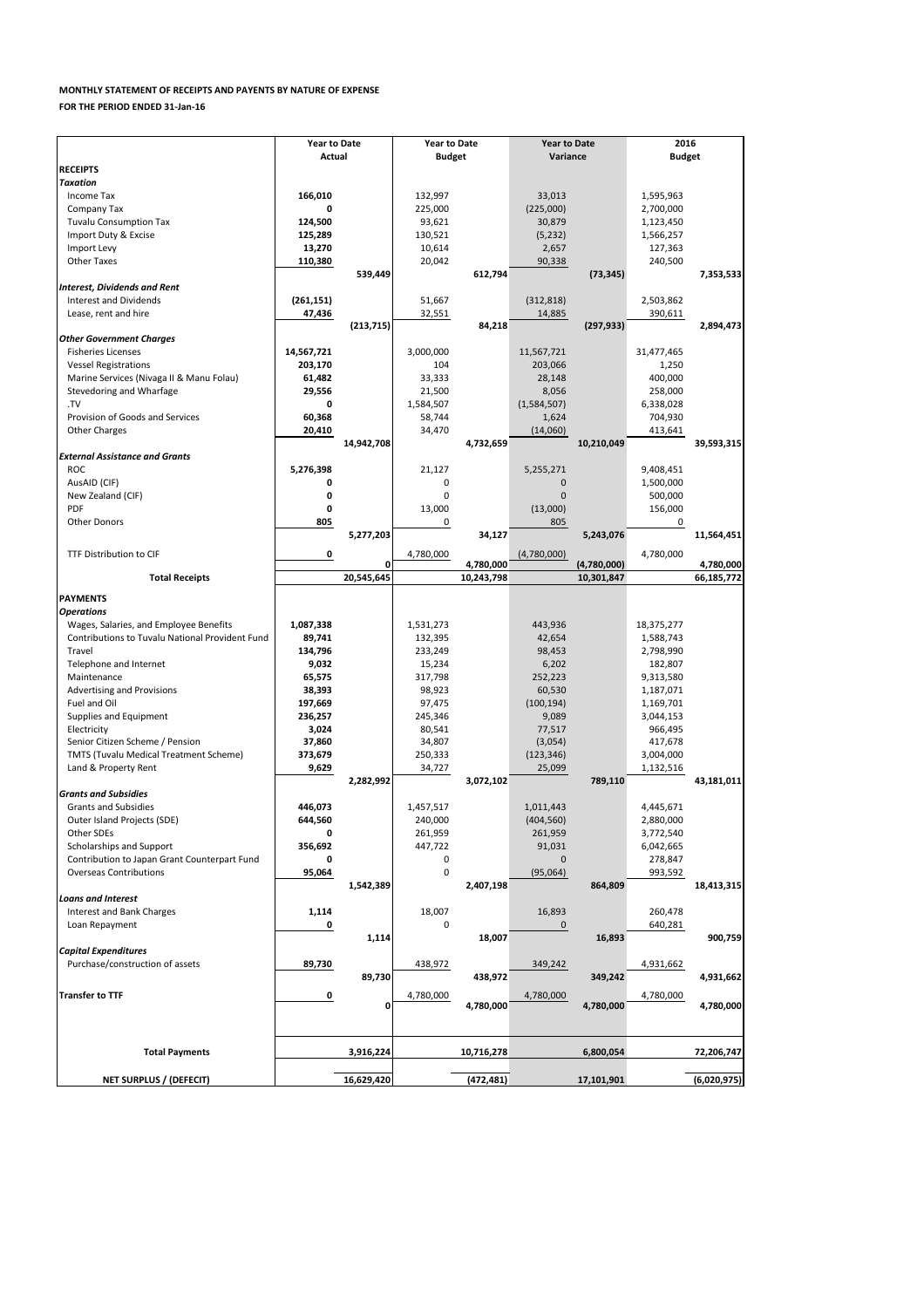|                                                              | <b>Year to Date</b> |              | <b>Year to Date</b> |            | <b>Year to Date</b> |             | 2016          |             |  |
|--------------------------------------------------------------|---------------------|--------------|---------------------|------------|---------------------|-------------|---------------|-------------|--|
|                                                              | <b>Actual</b>       |              | <b>Budget</b>       |            | Variance            |             | <b>Budget</b> |             |  |
| <b>RECEIPTS</b>                                              |                     |              |                     |            |                     |             |               |             |  |
| <b>Taxation</b>                                              |                     |              |                     |            |                     |             |               |             |  |
| Income Tax                                                   | 166,010             |              | 132,997             |            | 33,013              |             | 1,595,963     |             |  |
| Company Tax                                                  | 0                   |              | 225,000             |            | (225,000)           |             | 2,700,000     |             |  |
| <b>Tuvalu Consumption Tax</b>                                | 124,500             |              | 93,621              |            | 30,879              |             | 1,123,450     |             |  |
| Import Duty & Excise                                         | 125,289             |              | 130,521             |            | (5, 232)            |             | 1,566,257     |             |  |
| Import Levy                                                  | 13,270              |              | 10,614              |            | 2,657               |             | 127,363       |             |  |
| <b>Other Taxes</b>                                           | 110,380             |              | 20,042              |            | 90,338              |             | 240,500       |             |  |
|                                                              |                     | 539,449      |                     | 612,794    |                     | (73, 345)   |               | 7,353,533   |  |
| <b>Interest, Dividends and Rent</b>                          |                     |              |                     |            |                     |             |               |             |  |
| <b>Interest and Dividends</b>                                | (261, 151)          |              | 51,667              |            | (312, 818)          |             | 2,503,862     |             |  |
| Lease, rent and hire                                         | 47,436              |              | 32,551              |            | 14,885              |             | 390,611       |             |  |
|                                                              |                     | (213, 715)   |                     | 84,218     |                     | (297, 933)  |               | 2,894,473   |  |
| <b>Other Government Charges</b><br><b>Fisheries Licenses</b> | 14,567,721          |              | 3,000,000           |            | 11,567,721          |             | 31,477,465    |             |  |
| <b>Vessel Registrations</b>                                  | 203,170             |              | 104                 |            | 203,066             |             | 1,250         |             |  |
| Marine Services (Nivaga II & Manu Folau)                     | 61,482              |              | 33,333              |            | 28,148              |             | 400,000       |             |  |
| Stevedoring and Wharfage                                     | 29,556              |              | 21,500              |            | 8,056               |             | 258,000       |             |  |
| .TV                                                          | 0                   |              | 1,584,507           |            | (1,584,507)         |             | 6,338,028     |             |  |
| Provision of Goods and Services                              | 60,368              |              | 58,744              |            | 1,624               |             | 704,930       |             |  |
| <b>Other Charges</b>                                         | 20,410              |              | 34,470              |            | (14,060)            |             | 413,641       |             |  |
|                                                              |                     | 14,942,708   |                     | 4,732,659  |                     | 10,210,049  |               | 39,593,315  |  |
| <b>External Assistance and Grants</b>                        |                     |              |                     |            |                     |             |               |             |  |
| <b>ROC</b>                                                   | 5,276,398           |              | 21,127              |            | 5,255,271           |             | 9,408,451     |             |  |
| AusAID (CIF)                                                 | 0                   |              | 0                   |            | $\Omega$            |             | 1,500,000     |             |  |
| New Zealand (CIF)                                            | 0                   |              | 0                   |            | $\Omega$            |             | 500,000       |             |  |
| <b>PDF</b>                                                   | 0                   |              | 13,000              |            | (13,000)            |             | 156,000       |             |  |
| <b>Other Donors</b>                                          | 805                 |              | 0                   |            | 805                 |             | 0             |             |  |
|                                                              |                     | 5,277,203    |                     | 34,127     |                     | 5,243,076   |               | 11,564,451  |  |
|                                                              |                     |              |                     |            |                     |             |               |             |  |
| TTF Distribution to CIF                                      | 0                   | O.           | 4,780,000           | 4,780,000  | (4,780,000)         | (4,780,000) | 4,780,000     | 4,780,000   |  |
| <b>Total Receipts</b>                                        |                     | 20,545,645   |                     | 10,243,798 |                     | 10,301,847  |               | 66,185,772  |  |
|                                                              |                     |              |                     |            |                     |             |               |             |  |
| <b>IPAYMENTS</b>                                             |                     |              |                     |            |                     |             |               |             |  |
| <b>Operations</b>                                            |                     |              |                     |            |                     |             |               |             |  |
| Wages, Salaries, and Employee Benefits                       | 1,087,338           |              | 1,531,273           |            | 443,936             |             | 18,375,277    |             |  |
| <b>Contributions to Tuvalu National Provident Fund</b>       | 89,741              |              | 132,395             |            | 42,654              |             | 1,588,743     |             |  |
| Travel                                                       | 134,796             |              | 233,249             |            | 98,453              |             | 2,798,990     |             |  |
| Telephone and Internet                                       | 9,032               |              | 15,234              |            | 6,202               |             | 182,807       |             |  |
| Maintenance                                                  | 65,575              |              | 317,798             |            | 252,223             |             | 9,313,580     |             |  |
| <b>Advertising and Provisions</b>                            | 38,393              |              | 98,923              |            | 60,530              |             | 1,187,071     |             |  |
| Fuel and Oil                                                 | 197,669             |              | 97,475              |            | (100, 194)          |             | 1,169,701     |             |  |
| Supplies and Equipment                                       | 236,257             |              | 245,346             |            | 9,089               |             | 3,044,153     |             |  |
| Electricity                                                  | 3,024               |              | 80,541              |            | 77,517              |             | 966,495       |             |  |
| Senior Citizen Scheme / Pension                              | 37,860              |              | 34,807              |            | (3,054)             |             | 417,678       |             |  |
| <b>TMTS (Tuvalu Medical Treatment Scheme)</b>                | 373,679             |              | 250,333             |            | (123, 346)          |             | 3,004,000     |             |  |
| Land & Property Rent                                         | 9,629               |              | 34,727              |            | 25,099              |             | 1,132,516     |             |  |
| <b>Grants and Subsidies</b>                                  |                     | 2,282,992    |                     | 3,072,102  |                     | 789,110     |               | 43,181,011  |  |
| <b>Grants and Subsidies</b>                                  | 446,073             |              | 1,457,517           |            | 1,011,443           |             | 4,445,671     |             |  |
| Outer Island Projects (SDE)                                  | 644,560             |              | 240,000             |            | (404, 560)          |             | 2,880,000     |             |  |
| Other SDEs                                                   | 0                   |              | 261,959             |            | 261,959             |             | 3,772,540     |             |  |
| Scholarships and Support                                     | 356,692             |              | 447,722             |            | 91,031              |             | 6,042,665     |             |  |
| Contribution to Japan Grant Counterpart Fund                 | 0                   |              | 0                   |            | $\Omega$            |             | 278,847       |             |  |
| <b>Overseas Contributions</b>                                | 95,064              |              | 0                   |            | (95,064)            |             | 993,592       |             |  |
|                                                              |                     | 1,542,389    |                     | 2,407,198  |                     | 864,809     |               | 18,413,315  |  |
| <b>Loans and Interest</b>                                    |                     |              |                     |            |                     |             |               |             |  |
| <b>Interest and Bank Charges</b>                             | 1,114               |              | 18,007              |            | 16,893              |             | 260,478       |             |  |
| Loan Repayment                                               | 0                   |              | 0                   |            | 0                   |             | 640,281       |             |  |
|                                                              |                     | 1,114        |                     | 18,007     |                     | 16,893      |               | 900,759     |  |
| <b>Capital Expenditures</b>                                  |                     |              |                     |            |                     |             |               |             |  |
| Purchase/construction of assets                              | 89,730              |              | 438,972             |            | 349,242             |             | 4,931,662     |             |  |
|                                                              |                     | 89,730       |                     | 438,972    |                     | 349,242     |               | 4,931,662   |  |
| <b>Transfer to TTF</b>                                       | 0                   |              | 4,780,000           |            | 4,780,000           |             | 4,780,000     |             |  |
|                                                              |                     | $\mathbf{0}$ |                     | 4,780,000  |                     | 4,780,000   |               | 4,780,000   |  |
|                                                              |                     |              |                     |            |                     |             |               |             |  |
|                                                              |                     |              |                     |            |                     |             |               |             |  |
|                                                              |                     |              |                     |            |                     |             |               |             |  |
| <b>Total Payments</b>                                        |                     | 3,916,224    |                     | 10,716,278 |                     | 6,800,054   |               | 72,206,747  |  |
|                                                              |                     |              |                     |            |                     |             |               |             |  |
| <b>NET SURPLUS / (DEFECIT)</b>                               |                     | 16,629,420   |                     | (472, 481) |                     | 17,101,901  |               | (6,020,975) |  |

## **MONTHLY STATEMENT OF RECEIPTS AND PAYENTS BY NATURE OF EXPENSE**

**FOR THE PERIOD ENDED 31-Jan-16**